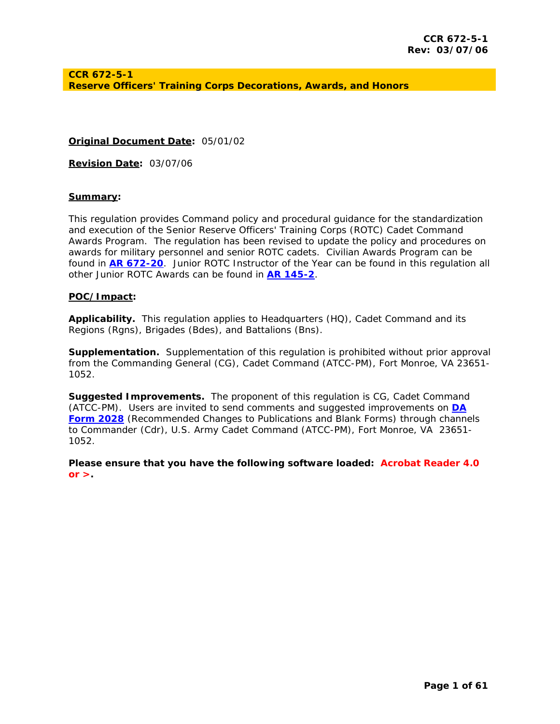**Original Document Date:** *05/01/02*

**Revision Date:** *03/07/06* 

#### **Summary:**

This regulation provides Command policy and procedural guidance for the standardization and execution of the Senior Reserve Officers' Training Corps (ROTC) Cadet Command Awards Program. The regulation has been revised to update the policy and procedures on awards for military personnel and senior ROTC cadets. Civilian Awards Program can be found in **[AR 672-20](http://www.army.mil/usapa/epubs/pdf/r672_20.pdf)**. Junior ROTC Instructor of the Year can be found in this regulation all other Junior ROTC Awards can be found in **[AR 145-2](http://www.army.mil/usapa/epubs/pdf/r145_2.pdf)**.

#### **POC/Impact:**

**Applicability.** This regulation applies to Headquarters (HQ), Cadet Command and its Regions (Rgns), Brigades (Bdes), and Battalions (Bns).

**Supplementation.** Supplementation of this regulation is prohibited without prior approval from the Commanding General (CG), Cadet Command (ATCC-PM), Fort Monroe, VA 23651- 1052.

**Suggested Improvements.** The proponent of this regulation is CG, Cadet Command (ATCC-PM). Users are invited to send comments and suggested improvements on **[DA](http://www.army.mil/usapa/eforms/pureEdge/A2028.XFDL)  [Form 2028](http://www.army.mil/usapa/eforms/pureEdge/A2028.XFDL)** (Recommended Changes to Publications and Blank Forms) through channels to Commander (Cdr), U.S. Army Cadet Command (ATCC-PM), Fort Monroe, VA 23651- 1052.

*Please ensure that you have the following software loaded: Acrobat Reader 4.0 or >.*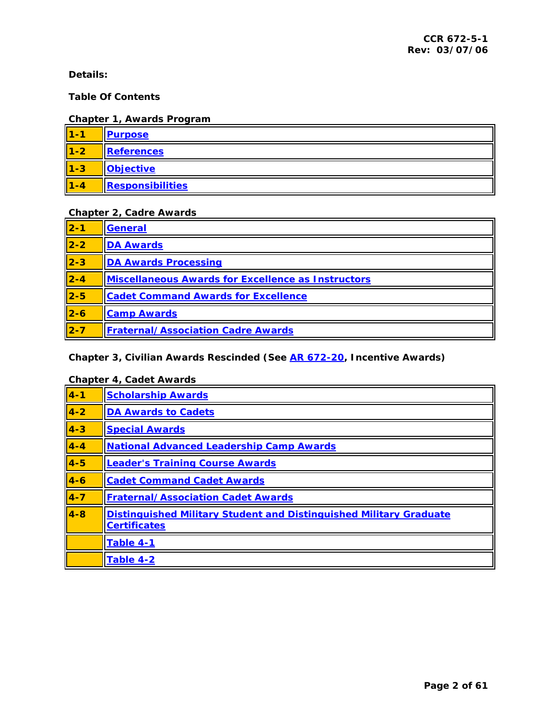<span id="page-1-0"></span>**Details:** 

### **Table Of Contents**

### **Chapter 1, Awards Program**

| $1 - 1$     | <b>Purpose</b>   |
|-------------|------------------|
| $\vert$ 1-2 | References       |
| $\vert$ 1-3 | <b>Objective</b> |
| $1 - 4$     | Responsibilities |

## **Chapter 2, Cadre Awards**

| $\vert$ 2-1               | General                                            |
|---------------------------|----------------------------------------------------|
| $\overline{\mathbf{2-2}}$ | <b>DA Awards</b>                                   |
| $\vert$ 2-3               | <b>DA Awards Processing</b>                        |
| $2 - 4$                   | Miscellaneous Awards for Excellence as Instructors |
| $\overline{\mathbf{2-5}}$ | <b>Cadet Command Awards for Excellence</b>         |
| $2-6$                     | <b>Camp Awards</b>                                 |
| $\overline{2-7}$          | <b>Fraternal/Association Cadre Awards</b>          |

### **Chapter 3, Civilian Awards Rescinded (See [AR 672-20](http://www.army.mil/usapa/epubs/pdf/r672_20.pdf), Incentive Awards)**

### **Chapter 4, Cadet Awards**

| $4 - 1$ | <b>Scholarship Awards</b>                                                                 |
|---------|-------------------------------------------------------------------------------------------|
| $4 - 2$ | <b>DA Awards to Cadets</b>                                                                |
| $4 - 3$ | <b>Special Awards</b>                                                                     |
| $4 - 4$ | <b>National Advanced Leadership Camp Awards</b>                                           |
| $4 - 5$ | <b>Leader's Training Course Awards</b>                                                    |
| $4 - 6$ | <b>Cadet Command Cadet Awards</b>                                                         |
| $4 - 7$ | <b>Fraternal/Association Cadet Awards</b>                                                 |
| $4 - 8$ | Distinguished Military Student and Distinguished Military Graduate<br><b>Certificates</b> |
|         | Table 4-1                                                                                 |
|         | Table 4-2                                                                                 |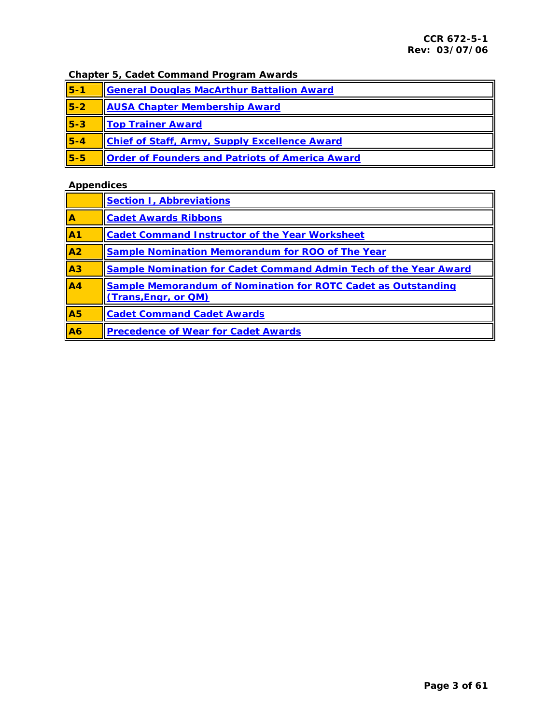## **Chapter 5, Cadet Command Program Awards**

| $5 - 1$ | General Douglas MacArthur Battalion Award              |  |  |
|---------|--------------------------------------------------------|--|--|
| $5-2$   | <b>AUSA Chapter Membership Award</b>                   |  |  |
| $5 - 3$ | <b>Top Trainer Award</b>                               |  |  |
| $5 - 4$ | <b>Chief of Staff, Army, Supply Excellence Award</b>   |  |  |
| $5 - 5$ | <b>Order of Founders and Patriots of America Award</b> |  |  |

## **Appendices**

|                         | <b>Section I, Abbreviations</b>                                                              |  |  |  |
|-------------------------|----------------------------------------------------------------------------------------------|--|--|--|
| $\overline{\mathbf{A}}$ | <b>Cadet Awards Ribbons</b>                                                                  |  |  |  |
| $\overline{A1}$         | <b>Cadet Command Instructor of the Year Worksheet</b>                                        |  |  |  |
| A <sub>2</sub>          | <b>Sample Nomination Memorandum for ROO of The Year</b>                                      |  |  |  |
| $A_3$                   | <b>Sample Nomination for Cadet Command Admin Tech of the Year Award</b>                      |  |  |  |
| A <sub>4</sub>          | <b>Sample Memorandum of Nomination for ROTC Cadet as Outstanding</b><br>(Trans, Engr, or QM) |  |  |  |
| A5                      | <b>Cadet Command Cadet Awards</b>                                                            |  |  |  |
| A6                      | <b>Precedence of Wear for Cadet Awards</b>                                                   |  |  |  |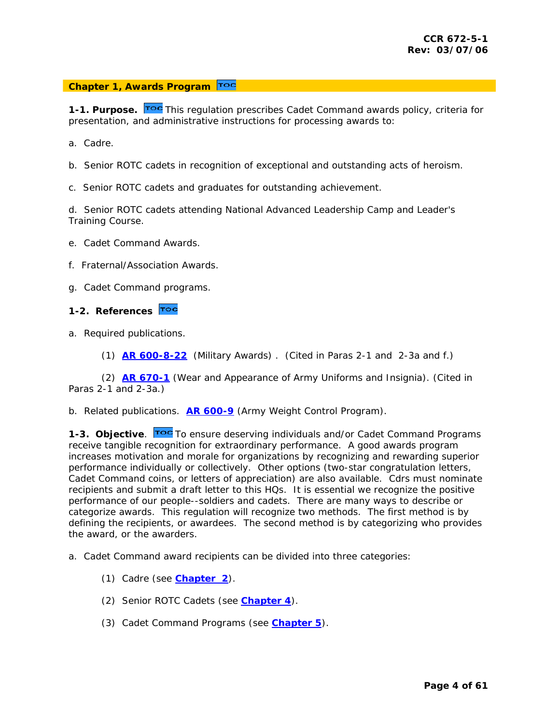#### <span id="page-3-0"></span>**Chapter 1, Awards Program**

**1-1. Purpose.** Toc This regulation prescribes Cadet Command awards policy, criteria for presentation, a[nd adm](#page-1-0)inistrative instructions for processing awards to:

- a. Cadre.
- b. Senior ROTC cadets in recognition of exceptional and outstanding acts of heroism.
- c. Senior ROTC cadets and graduates for outstanding achievement.

d. Senior ROTC cadets attending National Advanced Leadership Camp and Leader's Training Course.

- e. Cadet Command Awards.
- f. Fraternal/Association Awards.
- g. Cadet Command programs.

### **1-2. References**

- a. Required publications.
	- (1) **[AR 600-8-22](http://www.army.mil/usapa/epubs/pdf/r600_8_22.pdf)** (Military Awards) . (Cited in Paras 2-1 and 2-3a and f.)

 (2) **[AR 670-1](http://www.army.mil/usapa/epubs/pdf/r670_1.pdf)** (Wear and Appearance of Army Uniforms and Insignia). (Cited in Paras 2-1 and 2-3a.)

b. Related publications. **[AR 600-9](http://www.army.mil/usapa/epubs/pdf/r600_9.pdf)** (Army Weight Control Program).

**1-3. Objective.** To ensure deserving individuals and/or Cadet Command Programs receive tangible recognition for extraordinary performance. A good awards program increases motivation and morale for organizations by recognizing and rewarding superior performance individually or collectively. Other options (two-star congratulation letters, Cadet Command coins, or letters of appreciation) are also available. Cdrs must nominate recipients and submit a draft letter to this HQs. It is essential we recognize the positive performance of our people--soldiers and cadets. There are many ways to describe or categorize awards. This regulation will recognize two methods. The first method is by defining the recipients, or awardees. The second method is by categorizing who provides the award, or the awarders.

a. Cadet Command award recipients can be divided into three categories:

- (1) Cadre (see **[Chapter 2](#page-4-0)**).
- (2) Senior ROTC Cadets (see **[Chapter 4](#page-26-0)**).
- (3) Cadet Command Programs (see **[Chapter 5](#page-47-0)**).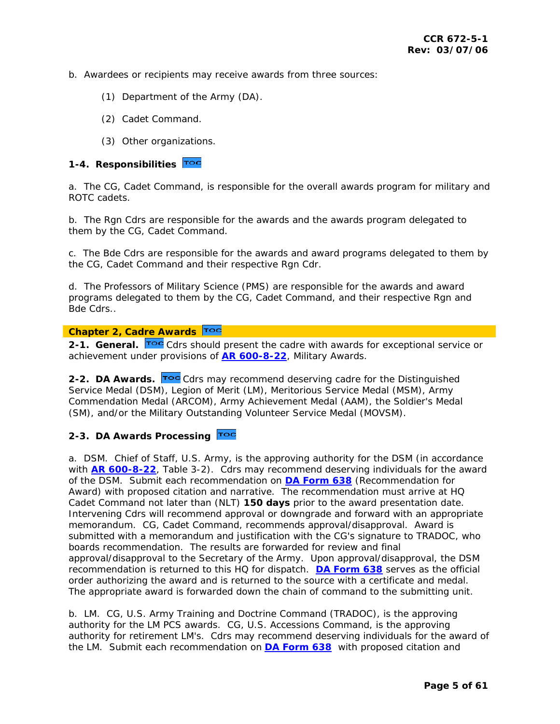- <span id="page-4-0"></span>b. Awardees or recipients may receive awards from three sources:
	- (1) Department of the Army (DA).
	- (2) Cadet Command.
	- (3) Other organizations.

#### **1-4. Responsibilities**

a. The CG, Cadet Command, is responsible for the overall awards program for military and ROTC cadets.

b. The Rgn Cdrs are responsible for the awards and the awards program delegated to them by the CG, Cadet Command.

c. The Bde Cdrs are responsible for the awards and award programs delegated to them by the CG, Cadet Command and their respective Rgn Cdr.

d. The Professors of Military Science (PMS) are responsible for the awards and award programs delegated to them by the CG, Cadet Command, and their respective Rgn and Bde Cdrs..

### **[C](#page-1-0)hapter 2, Cadre Awards**

2-1. General. Toc [C](#page-1-0)drs should present the cadre with awards for exceptional service or achievement under provisions of **[AR 600-8-22](#page-1-0)**, Military Awards.

**2-2. DA Awards.** Toc [C](#page-1-0)drs may recommend deserving cadre for the Distinguished Service Medal (DSM), Legion of Merit (LM), Meritorious Service Medal (MSM), Army Commendation Medal (ARCOM), Army Achievement Medal (AAM), the Soldier's Medal (SM), and/or the Military Outstanding Volunteer Service Medal (MOVSM).

### **2-3. DA Awards Processing**

a. DSM. Chief of Staff, U.S. Army, is the approving authority for the DSM (in accordance with **[AR 600-8-22](http://www.army.mil/usapa/epubs/pdf/r600_8_22.pdf)**, Table 3-2). Cdrs may recommend deserving individuals for the award of the DSM. Submit each recommendation on **[DA Form 638](http://www.army.mil/usapa/eforms/pureEdge/A638.XFDL)** (Recommendation for Award) with proposed citation and narrative. The recommendation must arrive at HQ Cadet Command not later than (NLT) **150 days** prior to the award presentation date. Intervening Cdrs will recommend approval or downgrade and forward with an appropriate memorandum. CG, Cadet Command, recommends approval/disapproval. Award is submitted with a memorandum and justification with the CG's signature to TRADOC, who boards recommendation. The results are forwarded for review and final approval/disapproval to the Secretary of the Army. Upon approval/disapproval, the DSM recommendation is returned to this HQ for dispatch. **[DA Form 638](http://www.army.mil/usapa/eforms/pureEdge/A638.XFDL)** serves as the official order authorizing the award and is returned to the source with a certificate and medal. The appropriate award is forwarded down the chain of command to the submitting unit.

b. LM. CG, U.S. Army Training and Doctrine Command (TRADOC), is the approving authority for the LM PCS awards. CG, U.S. Accessions Command, is the approving authority for retirement LM's. Cdrs may recommend deserving individuals for the award of the LM. Submit each recommendation on **[DA Form 638](http://www.army.mil/usapa/eforms/pureEdge/A638.XFDL)** with proposed citation and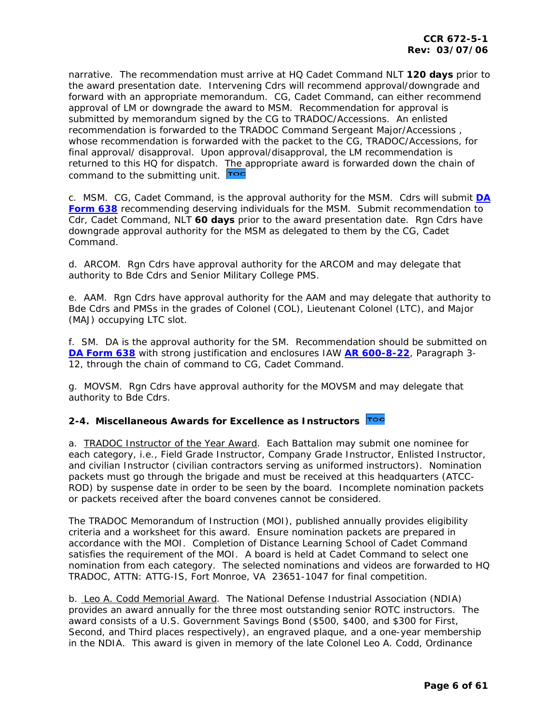<span id="page-5-0"></span>narrative. The recommendation must arrive at HQ Cadet Command NLT **120 days** prior to the award presentation date. Intervening Cdrs will recommend approval/downgrade and forward with an appropriate memorandum. CG, Cadet Command, can either recommend approval of LM or downgrade the award to MSM. Recommendation for approval is submitted by memorandum signed by the CG to TRADOC/Accessions. An enlisted recommendation is forwarded to the TRADOC Command Sergeant Major/Accessions , whose recommendation is forwarded with the packet to the CG, TRADOC/Accessions, for final approval/ disapproval. Upon approval/disapproval, the LM recommendation is returned to this HQ for dispatch. [The a](#page-1-0)ppropriate award is forwarded down the chain of command to the submitting unit. Toc

c. MSM. CG, Cadet Command, is the approval authority for the MSM. Cdrs will submit **[DA](http://www.army.mil/usapa/eforms/pureEdge/A638.XFDL)  [Form 638](http://www.army.mil/usapa/eforms/pureEdge/A638.XFDL)** recommending deserving individuals for the MSM. Submit recommendation to Cdr, Cadet Command, NLT **60 days** prior to the award presentation date. Rgn Cdrs have downgrade approval authority for the MSM as delegated to them by the CG, Cadet Command.

d. ARCOM. Rgn Cdrs have approval authority for the ARCOM and may delegate that authority to Bde Cdrs and Senior Military College PMS.

e. AAM. Rgn Cdrs have approval authority for the AAM and may delegate that authority to Bde Cdrs and PMSs in the grades of Colonel (COL), Lieutenant Colonel (LTC), and Major (MAJ) occupying LTC slot.

f. SM. DA is the approval authority for the SM. Recommendation should be submitted on **[DA Form 638](http://www.army.mil/usapa/eforms/pureEdge/A638.XFDL)** with strong justification and enclosures IAW **[AR 600-8-22](http://www.army.mil/usapa/epubs/pdf/r600_8_22.pdf)**, Paragraph 3- 12, through the chain of command to CG, Cadet Command.

g. MOVSM. Rgn Cdrs have approval authority for the MOVSM and may delegate that authority to Bde Cdrs.

### **2-4. Miscellaneous Awards for Excellence as Instructors**

a. *TRADOC Instructor of the Year Award.* Each Battalion may submit one nominee for each category, i.e., Field Grade Instructor, Company Grade Instructor, Enlisted Instructor, and civilian Instructor (civilian contractors serving as uniformed instructors). Nomination packets must go through the brigade and must be received at this headquarters (ATCC-ROD) by suspense date in order to be seen by the board. Incomplete nomination packets or packets received after the board convenes cannot be considered.

The TRADOC Memorandum of Instruction (MOI), published annually provides eligibility criteria and a worksheet for this award. Ensure nomination packets are prepared in accordance with the MOI. Completion of Distance Learning School of Cadet Command satisfies the requirement of the MOI. A board is held at Cadet Command to select one nomination from each category. The selected nominations and videos are forwarded to HQ TRADOC, ATTN: ATTG-IS, Fort Monroe, VA 23651-1047 for final competition.

b. *Leo A. Codd Memorial Award*. The National Defense Industrial Association (NDIA) provides an award annually for the three most outstanding senior ROTC instructors. The award consists of a U.S. Government Savings Bond (\$500, \$400, and \$300 for First, Second, and Third places respectively), an engraved plaque, and a one-year membership in the NDIA. This award is given in memory of the late Colonel Leo A. Codd, Ordinance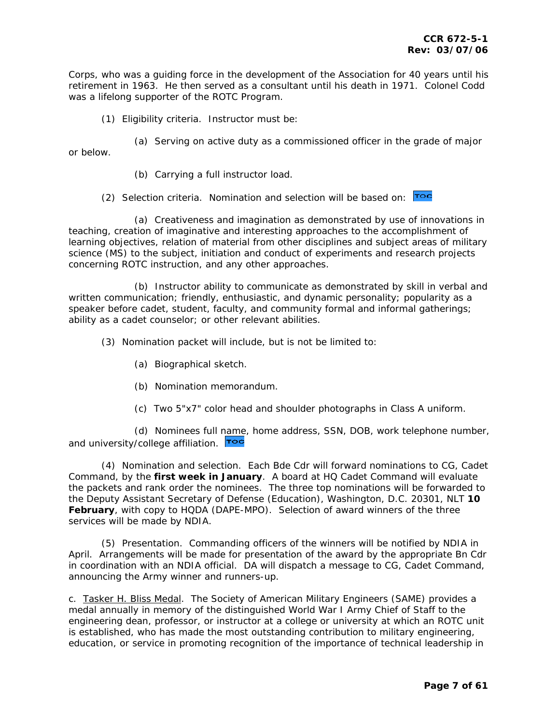Corps, who was a guiding force in the development of the Association for 40 years until his retirement in 1963. He then served as a consultant until his death in 1971. Colonel Codd was a lifelong supporter of the ROTC Program.

(1) Eligibility criteria. Instructor must be:

 (a) Serving on active duty as a commissioned officer in the grade of major or below.

(b) Carrying a full instructor load.

(2) Selection criteria. Nomination and selection will be based on: Toc

 (a) Creativeness and imagination as demonstrated by use of innovations in teaching, creation of imaginative and interesting approaches to the accomplishment of learning objectives, relation of material from other disciplines and subject areas of military science (MS) to the subject, initiation and conduct of experiments and research projects concerning ROTC instruction, and any other approaches.

 (b) Instructor ability to communicate as demonstrated by skill in verbal and written communication; friendly, enthusiastic, and dynamic personality; popularity as a speaker before cadet, student, faculty, and community formal and informal gatherings; ability as a cadet counselor; or other relevant abilities.

(3) Nomination packet will include, but is not be limited to:

- (a) Biographical sketch.
- (b) Nomination memorandum.
- (c) Two 5"x7" color head and shoulder photographs in Class A uniform.

 (d) Nominees full [name,](#page-1-0) home address, SSN, DOB, work telephone number, and university/college affiliation. Toc

 (4) Nomination and selection. Each Bde Cdr will forward nominations to CG, Cadet Command, by the **first week in January**. A board at HQ Cadet Command will evaluate the packets and rank order the nominees. The three top nominations will be forwarded to the Deputy Assistant Secretary of Defense (Education), Washington, D.C. 20301, NLT **10 February**, with copy to HQDA (DAPE-MPO). Selection of award winners of the three services will be made by NDIA.

 (5) Presentation. Commanding officers of the winners will be notified by NDIA in April. Arrangements will be made for presentation of the award by the appropriate Bn Cdr in coordination with an NDIA official. DA will dispatch a message to CG, Cadet Command, announcing the Army winner and runners-up.

c. *Tasker H. Bliss Medal.* The Society of American Military Engineers (SAME) provides a medal annually in memory of the distinguished World War I Army Chief of Staff to the engineering dean, professor, or instructor at a college or university at which an ROTC unit is established, who has made the most outstanding contribution to military engineering, education, or service in promoting recognition of the importance of technical leadership in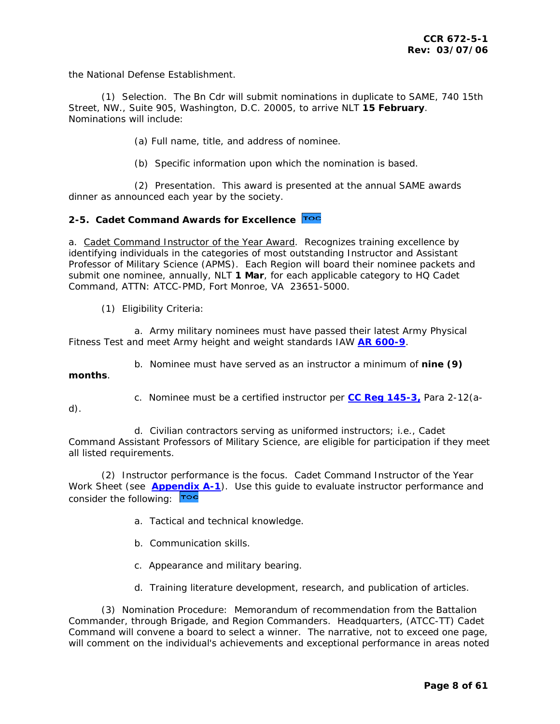<span id="page-7-0"></span>the National Defense Establishment.

 (1) Selection. The Bn Cdr will submit nominations in duplicate to SAME, 740 15th Street, NW., Suite 905, Washington, D.C. 20005, to arrive NLT **15 February**. Nominations will include:

(a) Full name, title, and address of nominee.

(b) Specific information upon which the nomination is based.

 (2) Presentation. This award is presented at the annual SAME awards dinner as announced each year by the society.

### **2-5. Cadet Command Awards for Excellence**

a. *Cadet Command Instructor of the Year Award*. Recognizes training excellence by identifying individuals in the categories of most outstanding Instructor and Assistant Professor of Military Science (APMS). Each Region will board their nominee packets and submit one nominee, annually, NLT **1 Mar**, for each applicable category to HQ Cadet Command, ATTN: ATCC-PMD, Fort Monroe, VA 23651-5000.

(1) Eligibility Criteria:

 a. Army military nominees must have passed their latest Army Physical Fitness Test and meet Army height and weight standards IAW **[AR 600-9](http://www.army.mil/usapa/epubs/pdf/r600_9.pdf)**.

b. Nominee must have served as an instructor a minimum of **nine (9)** 

**months**.

c. Nominee must be a certified instructor per **[CC Reg 145-3,](http://my.usaac.army.mil/portal/dt/usacc/HQ/library/CC_Regulations/)** Para 2-12(a-

d).

 d. Civilian contractors serving as uniformed instructors; i.e., Cadet Command Assistant Professors of Military Science, are eligible for participation if they meet all listed requirements.

 (2) Instructor performance is the focus. Cadet Command Instructor of the Year Work Sheet (see **[Appendix A-1](#page-55-0)**). Use this guide to evaluate instructor performance and consider the following: **TOC** 

- a. Tactical and technical knowledge.
- b. Communication skills.
- c. Appearance and military bearing.
- d. Training literature development, research, and publication of articles.

 (3) Nomination Procedure: Memorandum of recommendation from the Battalion Commander, through Brigade, and Region Commanders. Headquarters, (ATCC-TT) Cadet Command will convene a board to select a winner. The narrative, not to exceed one page, will comment on the individual's achievements and exceptional performance in areas noted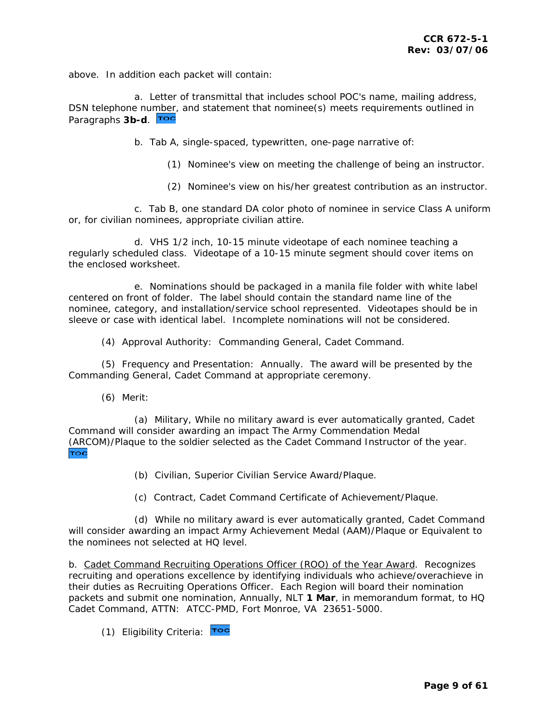above. In addition each packet will contain:

 a. Letter of transmittal that includes school POC's name, mailing address, DSN telephone nu[mber,](#page-1-0) and statement that nominee(s) meets requirements outlined in Paragraphs **3b-d**.

b. Tab A, single-spaced, typewritten, one-page narrative of:

- (1) Nominee's view on meeting the challenge of being an instructor.
- (2) Nominee's view on his/her greatest contribution as an instructor.

 c. Tab B, one standard DA color photo of nominee in service Class A uniform or, for civilian nominees, appropriate civilian attire.

 d. VHS 1/2 inch, 10-15 minute videotape of each nominee teaching a regularly scheduled class. Videotape of a 10-15 minute segment should cover items on the enclosed worksheet.

 e. Nominations should be packaged in a manila file folder with white label centered on front of folder. The label should contain the standard name line of the nominee, category, and installation/service school represented. Videotapes should be in sleeve or case with identical label. Incomplete nominations will not be considered.

(4) Approval Authority: Commanding General, Cadet Command.

 (5) Frequency and Presentation: Annually. The award will be presented by the Commanding General, Cadet Command at appropriate ceremony.

(6) Merit:

 (a) Military, While no military award is ever automatically granted, Cadet Command will consider awarding an impact The Army Commendation Medal [\(ARC](#page-1-0)OM)/Plaque to the soldier selected as the Cadet Command Instructor of the year. TOC

- (b) Civilian, Superior Civilian Service Award/Plaque.
- (c) Contract, Cadet Command Certificate of Achievement/Plaque.

 (d) While no military award is ever automatically granted, Cadet Command will consider awarding an impact Army Achievement Medal (AAM)/Plaque or Equivalent to the nominees not selected at HQ level.

b. *Cadet Command Recruiting Operations Officer (ROO) of the Year Award*. Recognizes recruiting and operations excellence by identifying individuals who achieve/overachieve in their duties as Recruiting Operations Officer. Each Region will board their nomination packets and submit one nomination, Annually, NLT **1 Mar**, in memorandum format, to HQ Cadet Command, ATTN: ATCC-PMD, Fort Monroe, VA 23651-5000.

(1) Eligibility Criteria: Toc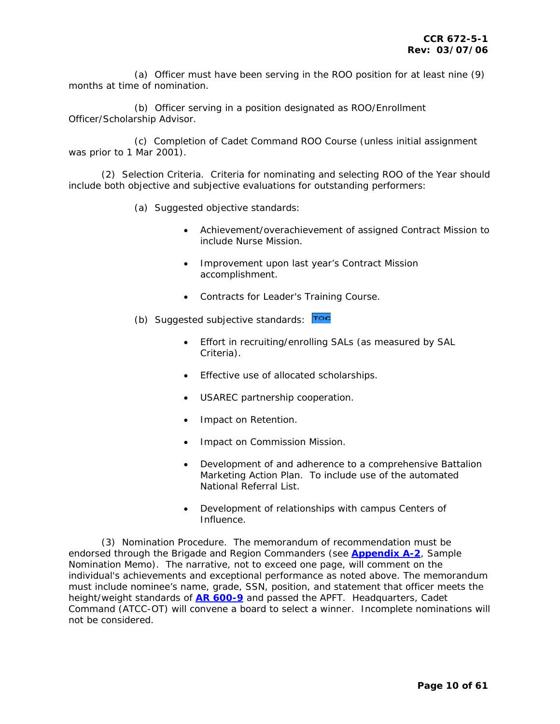(a) Officer must have been serving in the ROO position for at least nine (9) months at time of nomination.

 (b) Officer serving in a position designated as ROO/Enrollment Officer/Scholarship Advisor.

 (c) Completion of Cadet Command ROO Course (unless initial assignment was prior to 1 Mar 2001).

 (2) Selection Criteria. Criteria for nominating and selecting ROO of the Year should include both objective and subjective evaluations for outstanding performers:

- (a) Suggested objective standards:
	- Achievement/overachievement of assigned Contract Mission to include Nurse Mission.
	- Improvement upon last year's Contract Mission accomplishment.
	- Contracts for Leader's Training Course.
- (b) Suggested subjective standards:  $\overline{P}^{\bullet}$ 
	- Effort in recruiting/enrolling SALs (as measured by SAL Criteria).
	- Effective use of allocated scholarships.
	- USAREC partnership cooperation.
	- Impact on Retention.
	- Impact on Commission Mission.
	- Development of and adherence to a comprehensive Battalion Marketing Action Plan. To include use of the automated National Referral List.
	- Development of relationships with campus Centers of Influence.

 (3) Nomination Procedure. The memorandum of recommendation must be endorsed through the Brigade and Region Commanders (see **[Appendix A-2](#page-56-0)**, Sample Nomination Memo). The narrative, not to exceed one page, will comment on the individual's achievements and exceptional performance as noted above. The memorandum must include nominee's name, grade, SSN, position, and statement that officer meets the height/weight standards of **[AR 600-9](http://www.army.mil/usapa/epubs/pdf/r600_9.pdf)** and passed the APFT. Headquarters, Cadet Command (ATCC-OT) will convene a board to select a winner. Incomplete nominations will not be considered.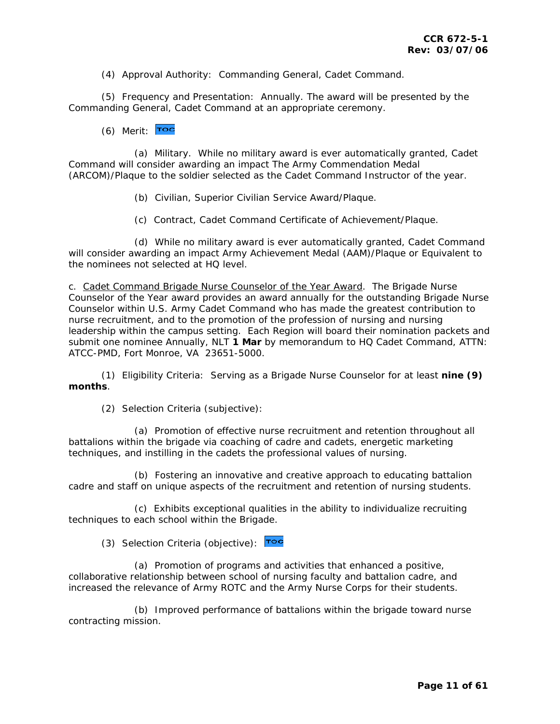(4) Approval Authority: Commanding General, Cadet Command.

 (5) Frequency and Presentation: Annually. The award will be presented by the Commanding General, Cadet Command at an appropriate ceremony.

(6) Merit:  $\overline{r}$ oc

 (a) Military. While no military award is ever automatically granted, Cadet Command will consider awarding an impact The Army Commendation Medal (ARCOM)/Plaque to the soldier selected as the Cadet Command Instructor of the year.

- (b) Civilian, Superior Civilian Service Award/Plaque.
- (c) Contract, Cadet Command Certificate of Achievement/Plaque.

 (d) While no military award is ever automatically granted, Cadet Command will consider awarding an impact Army Achievement Medal (AAM)/Plaque or Equivalent to the nominees not selected at HQ level.

c. *Cadet Command Brigade Nurse Counselor of the Year Award*. The Brigade Nurse Counselor of the Year award provides an award annually for the outstanding Brigade Nurse Counselor within U.S. Army Cadet Command who has made the greatest contribution to nurse recruitment, and to the promotion of the profession of nursing and nursing leadership within the campus setting. Each Region will board their nomination packets and submit one nominee Annually, NLT **1 Mar** by memorandum to HQ Cadet Command, ATTN: ATCC-PMD, Fort Monroe, VA 23651-5000.

 (1) Eligibility Criteria: Serving as a Brigade Nurse Counselor for at least **nine (9) months**.

(2) Selection Criteria (subjective):

 (a) Promotion of effective nurse recruitment and retention throughout all battalions within the brigade via coaching of cadre and cadets, energetic marketing techniques, and instilling in the cadets the professional values of nursing.

 (b) Fostering an innovative and creative approach to educating battalion cadre and staff on unique aspects of the recruitment and retention of nursing students.

 (c) Exhibits exceptional qualities in the ability to individualize recruiting techniques to each school within the Brigade.

(3) Selection Criteria (objective):  $\overline{r}$ 

 (a) Promotion of programs and activities that enhanced a positive, collaborative relationship between school of nursing faculty and battalion cadre, and increased the relevance of Army ROTC and the Army Nurse Corps for their students.

 (b) Improved performance of battalions within the brigade toward nurse contracting mission.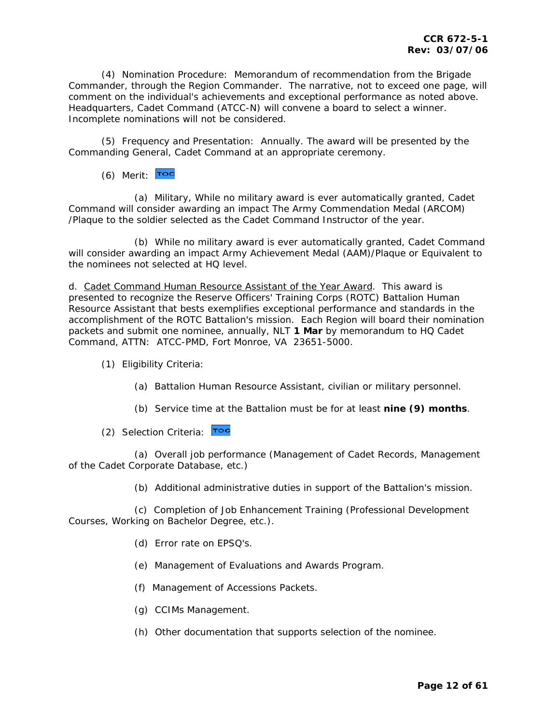(4) Nomination Procedure: Memorandum of recommendation from the Brigade Commander, through the Region Commander. The narrative, not to exceed one page, will comment on the individual's achievements and exceptional performance as noted above. Headquarters, Cadet Command (ATCC-N) will convene a board to select a winner. Incomplete nominations will not be considered.

 (5) Frequency and Presentation: Annually. The award will be presented by the Commanding General, Cadet Command at an appropriate ceremony.

(6) Merit: Toc

 (a) Military, While no military award is ever automatically granted, Cadet Command will consider awarding an impact The Army Commendation Medal (ARCOM) /Plaque to the soldier selected as the Cadet Command Instructor of the year.

 (b) While no military award is ever automatically granted, Cadet Command will consider awarding an impact Army Achievement Medal (AAM)/Plaque or Equivalent to the nominees not selected at HQ level.

d. *Cadet Command Human Resource Assistant of the Year Award*. This award is presented to recognize the Reserve Officers' Training Corps (ROTC) Battalion Human Resource Assistant that bests exemplifies exceptional performance and standards in the accomplishment of the ROTC Battalion's mission. Each Region will board their nomination packets and submit one nominee, annually, NLT **1 Mar** by memorandum to HQ Cadet Command, ATTN: ATCC-PMD, Fort Monroe, VA 23651-5000.

(1) Eligibility Criteria:

- (a) Battalion Human Resource Assistant, civilian or military personnel.
- (b) Service time at the Battalion must be for at least **nine (9) months**.
- (2) Selection Criteria: Toc

 (a) Overall job performance (Management of Cadet Records, Management of the Cadet Corporate Database, etc.)

(b) Additional administrative duties in support of the Battalion's mission.

 (c) Completion of Job Enhancement Training (Professional Development Courses, Working on Bachelor Degree, etc.).

- (d) Error rate on EPSQ's.
- (e) Management of Evaluations and Awards Program.
- (f) Management of Accessions Packets.
- (g) CCIMs Management.
- (h) Other documentation that supports selection of the nominee.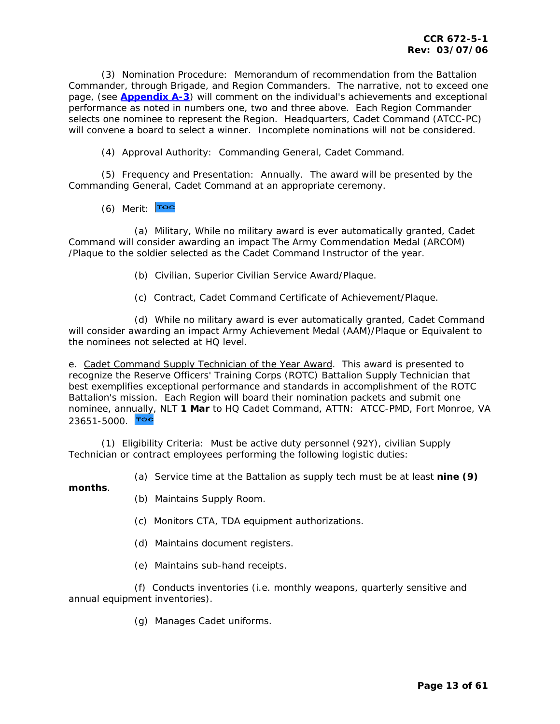(3) Nomination Procedure: Memorandum of recommendation from the Battalion Commander, through Brigade, and Region Commanders. The narrative, not to exceed one page, (see **[Appendix A-3](#page-57-0)**) will comment on the individual's achievements and exceptional performance as noted in numbers one, two and three above. Each Region Commander selects one nominee to represent the Region. Headquarters, Cadet Command (ATCC-PC) will convene a board to select a winner. Incomplete nominations will not be considered.

(4) Approval Authority: Commanding General, Cadet Command.

 (5) Frequency and Presentation: Annually. The award will be presented by the Commanding General, Cadet Command at an appropriate ceremony.

 $(6)$  Merit:  $\overline{P^{\bullet}C}$ 

 (a) Military, While no military award is ever automatically granted, Cadet Command will consider awarding an impact The Army Commendation Medal (ARCOM) /Plaque to the soldier selected as the Cadet Command Instructor of the year.

- (b) Civilian, Superior Civilian Service Award/Plaque.
- (c) Contract, Cadet Command Certificate of Achievement/Plaque.

 (d) While no military award is ever automatically granted, Cadet Command will consider awarding an impact Army Achievement Medal (AAM)/Plaque or Equivalent to the nominees not selected at HQ level.

e. *Cadet Command Supply Technician of the Year Award*. This award is presented to recognize the Reserve Officers' Training Corps (ROTC) Battalion Supply Technician that best exemplifies exceptional performance and standards in accomplishment of the ROTC Battalion's mission. Each Region will board their nomination packets and submit one nominee, ann[ually,](#page-1-0) NLT **1 Mar** to HQ Cadet Command, ATTN: ATCC-PMD, Fort Monroe, VA  $23651 - 5000$ . Toc

 (1) Eligibility Criteria: Must be active duty personnel (92Y), civilian Supply Technician or contract employees performing the following logistic duties:

(a) Service time at the Battalion as supply tech must be at least **nine (9)** 

**months**.

- (b) Maintains Supply Room.
- (c) Monitors CTA, TDA equipment authorizations.
- (d) Maintains document registers.
- (e) Maintains sub-hand receipts.

 (f) Conducts inventories (i.e. monthly weapons, quarterly sensitive and annual equipment inventories).

(g) Manages Cadet uniforms.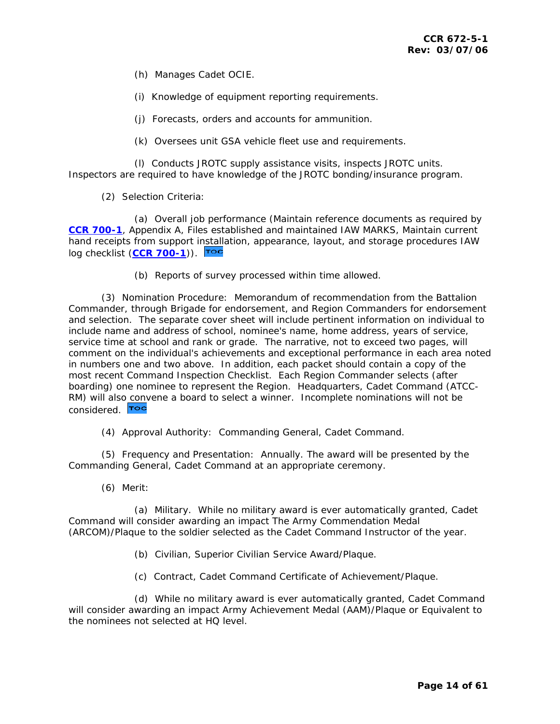- (h) Manages Cadet OCIE.
- (i) Knowledge of equipment reporting requirements.
- (j) Forecasts, orders and accounts for ammunition.
- (k) Oversees unit GSA vehicle fleet use and requirements.

 (l) Conducts JROTC supply assistance visits, inspects JROTC units. Inspectors are required to have knowledge of the JROTC bonding/insurance program.

(2) Selection Criteria:

 (a) Overall job performance (Maintain reference documents as required by **[CCR 700-1](http://my.usaac.army.mil/portal/dt/usacc/HQ/library/CC_Regulations/)**, Appendix A, Files established and maintained IAW MARKS, Maintain current hand receipts from support i[nstalla](#page-1-0)tion, appearance, layout, and storage procedures IAW log checklist (**[CCR 700-1](http://my.usaac.army.mil/portal/dt/usacc/HQ/library/CC_Regulations/)**)).

(b) Reports of survey processed within time allowed.

 (3) Nomination Procedure: Memorandum of recommendation from the Battalion Commander, through Brigade for endorsement, and Region Commanders for endorsement and selection. The separate cover sheet will include pertinent information on individual to include name and address of school, nominee's name, home address, years of service, service time at school and rank or grade. The narrative, not to exceed two pages, will comment on the individual's achievements and exceptional performance in each area noted in numbers one and two above. In addition, each packet should contain a copy of the most recent Command Inspection Checklist. Each Region Commander selects (after boarding) one nominee to represent the Region. Headquarters, Cadet Command (ATCC-RM) will als[o conv](#page-1-0)ene a board to select a winner. Incomplete nominations will not be considered. **TOC** 

(4) Approval Authority: Commanding General, Cadet Command.

 (5) Frequency and Presentation: Annually. The award will be presented by the Commanding General, Cadet Command at an appropriate ceremony.

(6) Merit:

 (a) Military. While no military award is ever automatically granted, Cadet Command will consider awarding an impact The Army Commendation Medal (ARCOM)/Plaque to the soldier selected as the Cadet Command Instructor of the year.

- (b) Civilian, Superior Civilian Service Award/Plaque.
- (c) Contract, Cadet Command Certificate of Achievement/Plaque.

 (d) While no military award is ever automatically granted, Cadet Command will consider awarding an impact Army Achievement Medal (AAM)/Plaque or Equivalent to the nominees not selected at HQ level.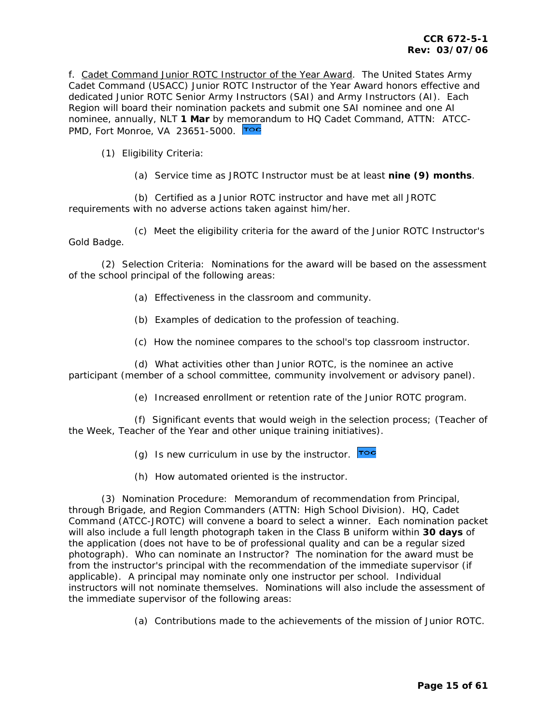f. *Cadet Command Junior ROTC Instructor of the Year Award*. The United States Army Cadet Command (USACC) Junior ROTC Instructor of the Year Award honors effective and dedicated Junior ROTC Senior Army Instructors (SAI) and Army Instructors (AI). Each Region will board their nomination packets and submit one SAI nominee and one AI nominee, annually, NLT **1 Mar** by m[emora](#page-1-0)ndum to HQ Cadet Command, ATTN: ATCC-PMD, Fort Monroe, VA 23651-5000.

(1) Eligibility Criteria:

(a) Service time as JROTC Instructor must be at least **nine (9) months**.

 (b) Certified as a Junior ROTC instructor and have met all JROTC requirements with no adverse actions taken against him/her.

 (c) Meet the eligibility criteria for the award of the Junior ROTC Instructor's Gold Badge.

 (2) Selection Criteria: Nominations for the award will be based on the assessment of the school principal of the following areas:

- (a) Effectiveness in the classroom and community.
- (b) Examples of dedication to the profession of teaching.
- (c) How the nominee compares to the school's top classroom instructor.

 (d) What activities other than Junior ROTC, is the nominee an active participant (member of a school committee, community involvement or advisory panel).

(e) Increased enrollment or retention rate of the Junior ROTC program.

 (f) Significant events that would weigh in the selection process; (Teacher of the Week, Teacher of the Year and other unique training initiatives).

(g) Is new curriculum in use by the instructor. Toc

(h) How automated oriented is the instructor.

 (3) Nomination Procedure: Memorandum of recommendation from Principal, through Brigade, and Region Commanders (ATTN: High School Division). HQ, Cadet Command (ATCC-JROTC) will convene a board to select a winner. Each nomination packet will also include a full length photograph taken in the Class B uniform within **30 days** of the application (does not have to be of professional quality and can be a regular sized photograph). Who can nominate an Instructor? The nomination for the award must be from the instructor's principal with the recommendation of the immediate supervisor (if applicable). A principal may nominate only one instructor per school. Individual instructors will not nominate themselves. Nominations will also include the assessment of the immediate supervisor of the following areas:

(a) Contributions made to the achievements of the mission of Junior ROTC.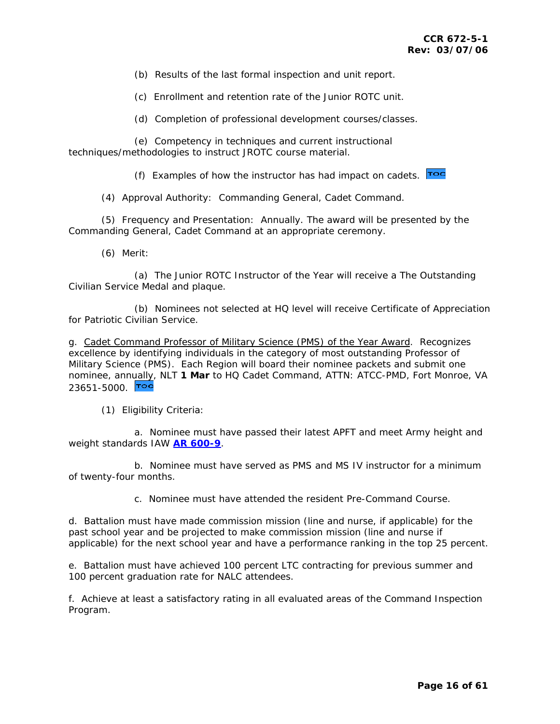(b) Results of the last formal inspection and unit report.

(c) Enrollment and retention rate of the Junior ROTC unit.

(d) Completion of professional development courses/classes.

 (e) Competency in techniques and current instructional techniques/methodologies to instruct JROTC course material.

(f) Examples of how the instructor has had impact on cadets.  $\overline{r}$ 

(4) Approval Authority: Commanding General, Cadet Command.

 (5) Frequency and Presentation: Annually. The award will be presented by the Commanding General, Cadet Command at an appropriate ceremony.

(6) Merit:

 (a) The Junior ROTC Instructor of the Year will receive a The Outstanding Civilian Service Medal and plaque.

 (b) Nominees not selected at HQ level will receive Certificate of Appreciation for Patriotic Civilian Service.

g. *Cadet Command Professor of Military Science (PMS) of the Year Award*. Recognizes excellence by identifying individuals in the category of most outstanding Professor of Military Science (PMS). Each Region will board their nominee packets and submit one nominee, ann[ually,](#page-1-0) NLT **1 Mar** to HQ Cadet Command, ATTN: ATCC-PMD, Fort Monroe, VA 23651-5000 **Toc** 

#### (1) Eligibility Criteria:

 a. Nominee must have passed their latest APFT and meet Army height and weight standards IAW **[AR 600-9](http://www.army.mil/usapa/epubs/pdf/r600_9.pdf)**.

 b. Nominee must have served as PMS and MS IV instructor for a minimum of twenty-four months.

c. Nominee must have attended the resident Pre-Command Course.

d. Battalion must have made commission mission (line and nurse, if applicable) for the past school year and be projected to make commission mission (line and nurse if applicable) for the next school year and have a performance ranking in the top 25 percent.

e. Battalion must have achieved 100 percent LTC contracting for previous summer and 100 percent graduation rate for NALC attendees.

f. Achieve at least a satisfactory rating in all evaluated areas of the Command Inspection Program.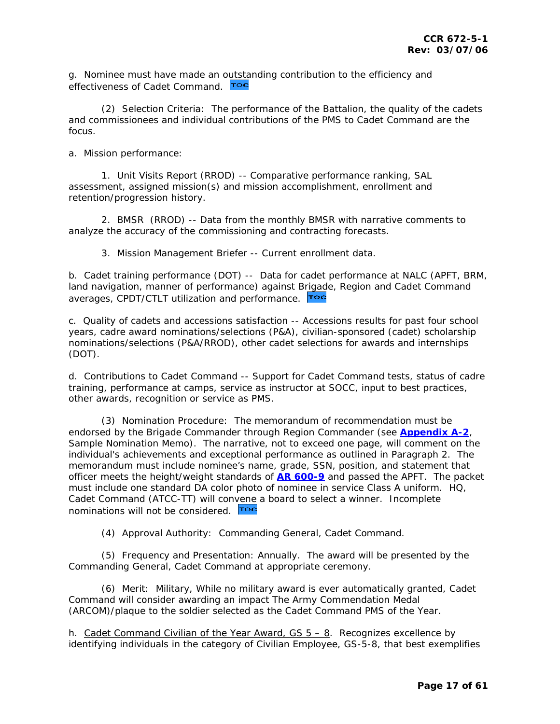g. Nominee must have made an [outsta](#page-1-0)nding contribution to the efficiency and effectiveness of Cadet Command. Toc

 (2) Selection Criteria: The performance of the Battalion, the quality of the cadets and commissionees and individual contributions of the PMS to Cadet Command are the focus.

a. Mission performance:

 1. Unit Visits Report (RROD) -- Comparative performance ranking, SAL assessment, assigned mission(s) and mission accomplishment, enrollment and retention/progression history.

 2. BMSR (RROD) -- Data from the monthly BMSR with narrative comments to analyze the accuracy of the commissioning and contracting forecasts.

3. Mission Management Briefer -- Current enrollment data.

b. Cadet training performance (DOT) -- Data for cadet performance at NALC (APFT, BRM, land navigation, manner of performance) against [Brigade](#page-1-0), Region and Cadet Command averages, CPDT/CTLT utilization and performance. Toc

c. Quality of cadets and accessions satisfaction -- Accessions results for past four school years, cadre award nominations/selections (P&A), civilian-sponsored (cadet) scholarship nominations/selections (P&A/RROD), other cadet selections for awards and internships (DOT).

d. Contributions to Cadet Command -- Support for Cadet Command tests, status of cadre training, performance at camps, service as instructor at SOCC, input to best practices, other awards, recognition or service as PMS.

 (3) Nomination Procedure: The memorandum of recommendation must be endorsed by the Brigade Commander through Region Commander (see **[Appendix A-2](#page-56-0)**, Sample Nomination Memo). The narrative, not to exceed one page, will comment on the individual's achievements and exceptional performance as outlined in Paragraph 2. The memorandum must include nominee's name, grade, SSN, position, and statement that officer meets the height/weight standards of **[AR 600-9](http://www.army.mil/usapa/epubs/pdf/r600_9.pdf)** and passed the APFT. The packet must include one standard DA color photo of nominee in service Class A uniform. HQ, Cadet Command (ATCC-TT) will con[vene](#page-1-0) a board to select a winner. Incomplete nominations will not be considered. **Too** 

(4) Approval Authority: Commanding General, Cadet Command.

 (5) Frequency and Presentation: Annually. The award will be presented by the Commanding General, Cadet Command at appropriate ceremony.

 (6) Merit: Military, While no military award is ever automatically granted, Cadet Command will consider awarding an impact The Army Commendation Medal (ARCOM)/plaque to the soldier selected as the Cadet Command PMS of the Year.

h. *Cadet Command Civilian of the Year Award, GS 5 – 8*. Recognizes excellence by identifying individuals in the category of Civilian Employee, GS-5-8, that best exemplifies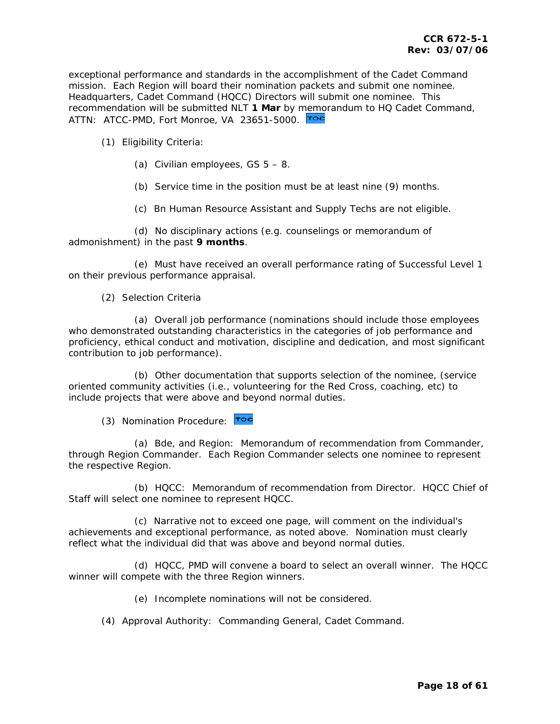exceptional performance and standards in the accomplishment of the Cadet Command mission. Each Region will board their nomination packets and submit one nominee. Headquarters, Cadet Command (HQCC) Directors will submit one nominee. This recommendation will be submitted NLT **1 Mar** by [memor](#page-1-0)andum to HQ Cadet Command, ATTN: ATCC-PMD, Fort Monroe, VA 23651-5000.

(1) Eligibility Criteria:

- (a) Civilian employees,  $GS$   $5 8$ .
- (b) Service time in the position must be at least nine (9) months.
- (c) Bn Human Resource Assistant and Supply Techs are not eligible.

 (d) No disciplinary actions (e.g. counselings or memorandum of admonishment) in the past **9 months**.

 (e) Must have received an overall performance rating of Successful Level 1 on their previous performance appraisal.

(2) Selection Criteria

 (a) Overall job performance (nominations should include those employees who demonstrated outstanding characteristics in the categories of job performance and proficiency, ethical conduct and motivation, discipline and dedication, and most significant contribution to job performance).

 (b) Other documentation that supports selection of the nominee, (service oriented community activities (i.e., volunteering for the Red Cross, coaching, etc) to include projects that were above and beyond normal duties.

(3) Nomination Procedure: Toc

 (a) Bde, and Region: Memorandum of recommendation from Commander, through Region Commander. Each Region Commander selects one nominee to represent the respective Region.

 (b) HQCC: Memorandum of recommendation from Director. HQCC Chief of Staff will select one nominee to represent HQCC.

 (c) Narrative not to exceed one page, will comment on the individual's achievements and exceptional performance, as noted above. Nomination must clearly reflect what the individual did that was above and beyond normal duties.

 (d) HQCC, PMD will convene a board to select an overall winner. The HQCC winner will compete with the three Region winners.

(e) Incomplete nominations will not be considered.

(4) Approval Authority: Commanding General, Cadet Command.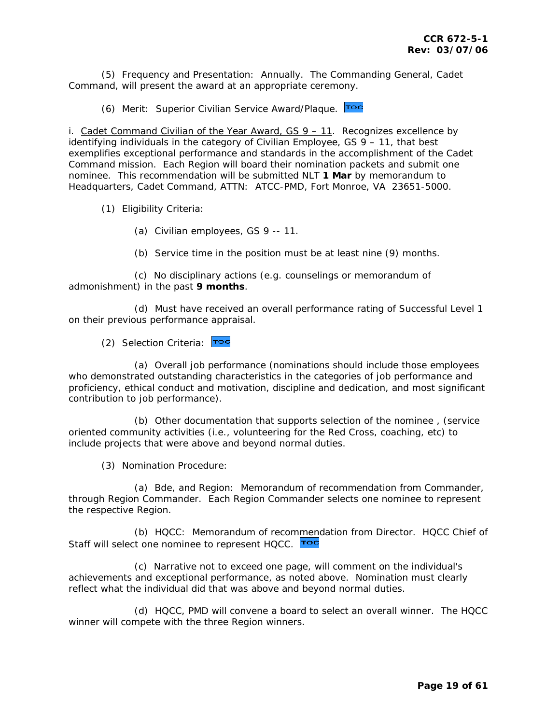(5) Frequency and Presentation: Annually. The Commanding General, Cadet Command, will present the award at an appropriate ceremony.

(6) Merit: Superior Civilian Service Award/Plaque. Toc

i. *Cadet Command Civilian of the Year Award, GS 9 – 11*. Recognizes excellence by identifying individuals in the category of Civilian Employee, GS 9 – 11, that best exemplifies exceptional performance and standards in the accomplishment of the Cadet Command mission. Each Region will board their nomination packets and submit one nominee. This recommendation will be submitted NLT **1 Mar** by memorandum to Headquarters, Cadet Command, ATTN: ATCC-PMD, Fort Monroe, VA 23651-5000.

- (1) Eligibility Criteria:
	- (a) Civilian employees, GS 9 -- 11.
	- (b) Service time in the position must be at least nine (9) months.

 (c) No disciplinary actions (e.g. counselings or memorandum of admonishment) in the past **9 months**.

 (d) Must have received an overall performance rating of Successful Level 1 on their previous performance appraisal.

(2) Selection Criteria: Toc

 (a) Overall job performance (nominations should include those employees who demonstrated outstanding characteristics in the categories of job performance and proficiency, ethical conduct and motivation, discipline and dedication, and most significant contribution to job performance).

 (b) Other documentation that supports selection of the nominee , (service oriented community activities (i.e., volunteering for the Red Cross, coaching, etc) to include projects that were above and beyond normal duties.

(3) Nomination Procedure:

 (a) Bde, and Region: Memorandum of recommendation from Commander, through Region Commander. Each Region Commander selects one nominee to represent the respective Region.

 (b) HQCC: Memorandum of reco[mmend](#page-1-0)ation from Director. HQCC Chief of Staff will select one nominee to represent HQCC. Toc

 (c) Narrative not to exceed one page, will comment on the individual's achievements and exceptional performance, as noted above. Nomination must clearly reflect what the individual did that was above and beyond normal duties.

 (d) HQCC, PMD will convene a board to select an overall winner. The HQCC winner will compete with the three Region winners.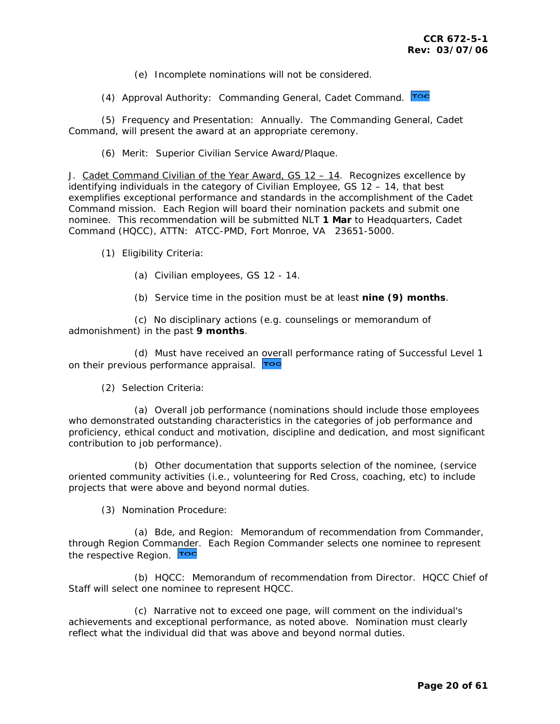(e) Incomplete nominations will not be considered.

(4) Approval Authority: Commanding General, Cadet Command. Toc

 (5) Frequency and Presentation: Annually. The Commanding General, Cadet Command, will present the award at an appropriate ceremony.

(6) Merit: Superior Civilian Service Award/Plaque.

J. *Cadet Command Civilian of the Year Award, GS 12 – 14*. Recognizes excellence by identifying individuals in the category of Civilian Employee, GS 12 – 14, that best exemplifies exceptional performance and standards in the accomplishment of the Cadet Command mission. Each Region will board their nomination packets and submit one nominee. This recommendation will be submitted NLT **1 Mar** to Headquarters, Cadet Command (HQCC), ATTN: ATCC-PMD, Fort Monroe, VA 23651-5000.

(1) Eligibility Criteria:

- (a) Civilian employees, GS 12 14.
- (b) Service time in the position must be at least **nine (9) months**.

 (c) No disciplinary actions (e.g. counselings or memorandum of admonishment) in the past **9 months**.

 (d) Must have received an [overa](#page-1-0)ll performance rating of Successful Level 1 on their previous performance appraisal. Toc

(2) Selection Criteria:

 (a) Overall job performance (nominations should include those employees who demonstrated outstanding characteristics in the categories of job performance and proficiency, ethical conduct and motivation, discipline and dedication, and most significant contribution to job performance).

 (b) Other documentation that supports selection of the nominee, (service oriented community activities (i.e., volunteering for Red Cross, coaching, etc) to include projects that were above and beyond normal duties.

(3) Nomination Procedure:

 (a) Bde, and Region: Memorandum of recommendation from Commander, through Region Comm[ander.](#page-1-0) Each Region Commander selects one nominee to represent the respective Region. Toc

 (b) HQCC: Memorandum of recommendation from Director. HQCC Chief of Staff will select one nominee to represent HQCC.

 (c) Narrative not to exceed one page, will comment on the individual's achievements and exceptional performance, as noted above. Nomination must clearly reflect what the individual did that was above and beyond normal duties.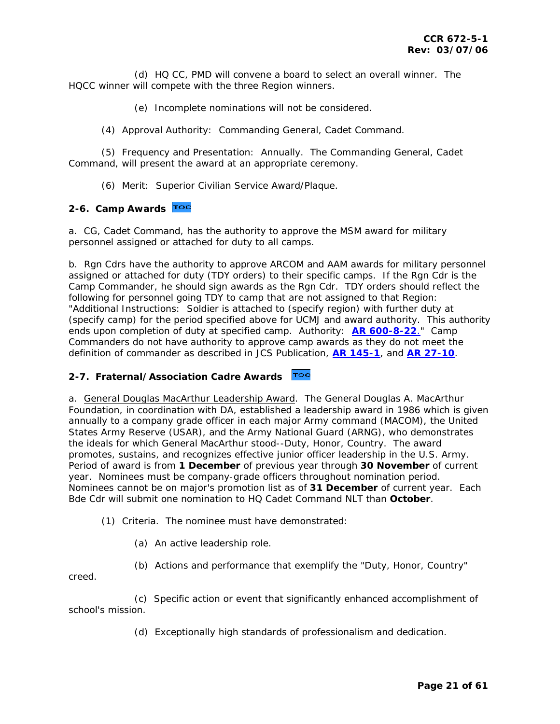<span id="page-20-0"></span> (d) HQ CC, PMD will convene a board to select an overall winner. The HQCC winner will compete with the three Region winners.

(e) Incomplete nominations will not be considered.

(4) Approval Authority: Commanding General, Cadet Command.

 (5) Frequency and Presentation: Annually. The Commanding General, Cadet Command, will present the award at an appropriate ceremony.

(6) Merit: Superior Civilian Service Award/Plaque.

#### **2-6. Camp Awards**

a. CG, Cadet Command, has the authority to approve the MSM award for military personnel assigned or attached for duty to all camps.

b. Rgn Cdrs have the authority to approve ARCOM and AAM awards for military personnel assigned or attached for duty (TDY orders) to their specific camps. If the Rgn Cdr is the Camp Commander, he should sign awards as the Rgn Cdr. TDY orders should reflect the following for personnel going TDY to camp that are not assigned to that Region: "Additional Instructions: Soldier is attached to (specify region) with further duty at (specify camp) for the period specified above for UCMJ and award authority. This authority ends upon completion of duty at specified camp. Authority: **[AR 600-8-22](http://www.army.mil/usapa/epubs/pdf/r600_8_22.pdf)**." Camp Commanders do not have authority to approve camp awards as they do not meet the definition of commander as described in JCS Publication, **[AR 145-1](http://www.army.mil/usapa/epubs/pdf/r145_1.pdf)**, and **[AR 27-10](http://www.army.mil/usapa/epubs/pdf/r27_10.pdf)**.

### **2-7. Fraternal/Association Cadre Awards**

a. *General Douglas MacArthur Leadership Award*. The General Douglas A. MacArthur Foundation, in coordination with DA, established a leadership award in 1986 which is given annually to a company grade officer in each major Army command (MACOM), the United States Army Reserve (USAR), and the Army National Guard (ARNG), who demonstrates the ideals for which General MacArthur stood--Duty, Honor, Country. The award promotes, sustains, and recognizes effective junior officer leadership in the U.S. Army. Period of award is from **1 December** of previous year through **30 November** of current year. Nominees must be company-grade officers throughout nomination period. Nominees cannot be on major's promotion list as of **31 December** of current year. Each Bde Cdr will submit one nomination to HQ Cadet Command NLT than **October**.

(1) Criteria. The nominee must have demonstrated:

(a) An active leadership role.

(b) Actions and performance that exemplify the "Duty, Honor, Country"

creed.

 (c) Specific action or event that significantly enhanced accomplishment of school's mission.

(d) Exceptionally high standards of professionalism and dedication.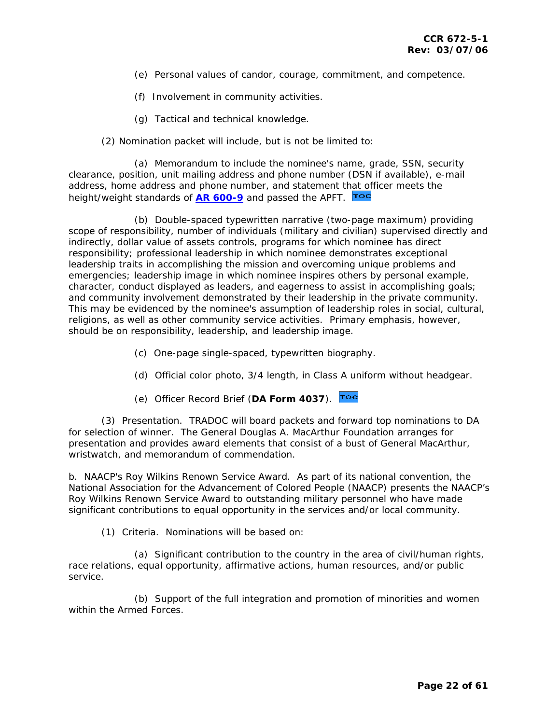- (e) Personal values of candor, courage, commitment, and competence.
- (f) Involvement in community activities.
- (g) Tactical and technical knowledge.
- (2) Nomination packet will include, but is not be limited to:

 (a) Memorandum to include the nominee's name, grade, SSN, security clearance, position, unit mailing address and phone number (DSN if available), e-mail address, home address and phone number, and statement t[hat off](#page-1-0)icer meets the height/weight standards of **[AR 600-9](http://www.army.mil/usapa/epubs/pdf/r600_9.pdf)** and passed the APFT.

 (b) Double-spaced typewritten narrative (two-page maximum) providing scope of responsibility, number of individuals (military and civilian) supervised directly and indirectly, dollar value of assets controls, programs for which nominee has direct responsibility; professional leadership in which nominee demonstrates exceptional leadership traits in accomplishing the mission and overcoming unique problems and emergencies; leadership image in which nominee inspires others by personal example, character, conduct displayed as leaders, and eagerness to assist in accomplishing goals; and community involvement demonstrated by their leadership in the private community. This may be evidenced by the nominee's assumption of leadership roles in social, cultural, religions, as well as other community service activities. Primary emphasis, however, should be on responsibility, leadership, and leadership image.

- (c) One-page single-spaced, typewritten biography.
- (d) Official color photo, 3/4 length, in Class A uniform without headgear.
- (e) Officer Record Brief (**DA Form 4037**).

 (3) Presentation. TRADOC will board packets and forward top nominations to DA for selection of winner. The General Douglas A. MacArthur Foundation arranges for presentation and provides award elements that consist of a bust of General MacArthur, wristwatch, and memorandum of commendation.

b. *NAACP's Roy Wilkins Renown Service Award*. As part of its national convention, the National Association for the Advancement of Colored People (NAACP) presents the NAACP's Roy Wilkins Renown Service Award to outstanding military personnel who have made significant contributions to equal opportunity in the services and/or local community.

(1) Criteria. Nominations will be based on:

 (a) Significant contribution to the country in the area of civil/human rights, race relations, equal opportunity, affirmative actions, human resources, and/or public service.

 (b) Support of the full integration and promotion of minorities and women within the Armed Forces.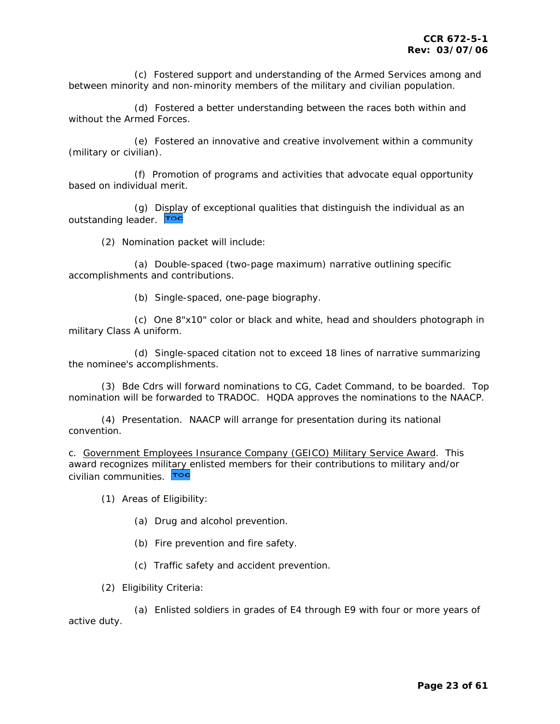(c) Fostered support and understanding of the Armed Services among and between minority and non-minority members of the military and civilian population.

 (d) Fostered a better understanding between the races both within and without the Armed Forces.

 (e) Fostered an innovative and creative involvement within a community (military or civilian).

 (f) Promotion of programs and activities that advocate equal opportunity based on individual merit.

 (g) [Display](#page-1-0) of exceptional qualities that distinguish the individual as an outstanding leader. Toc

(2) Nomination packet will include:

 (a) Double-spaced (two-page maximum) narrative outlining specific accomplishments and contributions.

(b) Single-spaced, one-page biography.

 (c) One 8"x10" color or black and white, head and shoulders photograph in military Class A uniform.

 (d) Single-spaced citation not to exceed 18 lines of narrative summarizing the nominee's accomplishments.

 (3) Bde Cdrs will forward nominations to CG, Cadet Command, to be boarded. Top nomination will be forwarded to TRADOC. HQDA approves the nominations to the NAACP.

 (4) Presentation. NAACP will arrange for presentation during its national convention.

c. *Government Employees Insurance Company (GEICO) Military Service Award*. This award recognizes mili[tary e](#page-1-0)nlisted members for their contributions to military and/or civilian communities. Toc

(1) Areas of Eligibility:

- (a) Drug and alcohol prevention.
- (b) Fire prevention and fire safety.
- (c) Traffic safety and accident prevention.

(2) Eligibility Criteria:

 (a) Enlisted soldiers in grades of E4 through E9 with four or more years of active duty.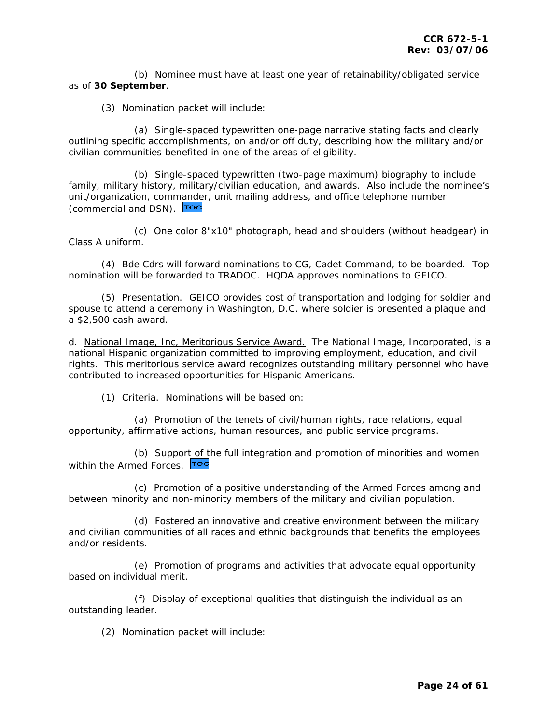(b) Nominee must have at least one year of retainability/obligated service as of **30 September**.

(3) Nomination packet will include:

 (a) Single-spaced typewritten one-page narrative stating facts and clearly outlining specific accomplishments, on and/or off duty, describing how the military and/or civilian communities benefited in one of the areas of eligibility.

 (b) Single-spaced typewritten (two-page maximum) biography to include family, military history, military/civilian education, and awards. Also include the nominee's unit/organization, com[mander](#page-1-0), unit mailing address, and office telephone number (commercial and DSN). Too

 (c) One color 8"x10" photograph, head and shoulders (without headgear) in Class A uniform.

 (4) Bde Cdrs will forward nominations to CG, Cadet Command, to be boarded. Top nomination will be forwarded to TRADOC. HQDA approves nominations to GEICO.

 (5) Presentation. GEICO provides cost of transportation and lodging for soldier and spouse to attend a ceremony in Washington, D.C. where soldier is presented a plaque and a \$2,500 cash award.

d. *National Image, Inc, Meritorious Service Award.* The National Image, Incorporated, is a national Hispanic organization committed to improving employment, education, and civil rights. This meritorious service award recognizes outstanding military personnel who have contributed to increased opportunities for Hispanic Americans.

(1) Criteria. Nominations will be based on:

 (a) Promotion of the tenets of civil/human rights, race relations, equal opportunity, affirmative actions, human resources, and public service programs.

 (b) Suppor[t of th](#page-1-0)e full integration and promotion of minorities and women within the Armed Forces. Toc

 (c) Promotion of a positive understanding of the Armed Forces among and between minority and non-minority members of the military and civilian population.

 (d) Fostered an innovative and creative environment between the military and civilian communities of all races and ethnic backgrounds that benefits the employees and/or residents.

 (e) Promotion of programs and activities that advocate equal opportunity based on individual merit.

 (f) Display of exceptional qualities that distinguish the individual as an outstanding leader.

(2) Nomination packet will include: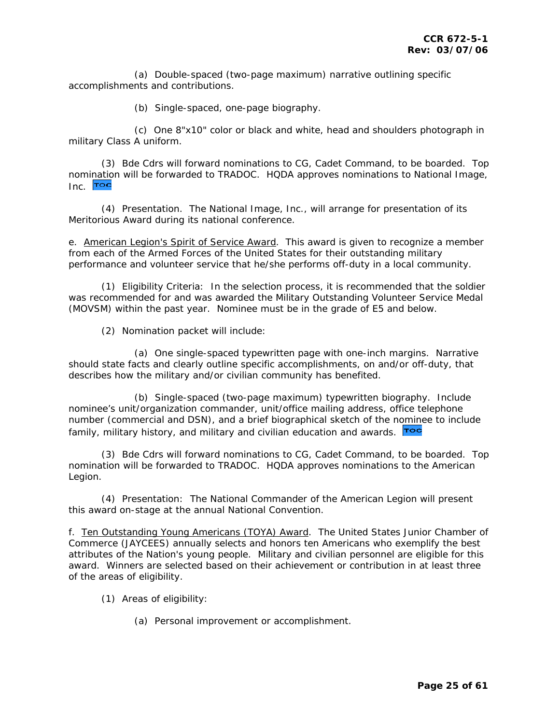(a) Double-spaced (two-page maximum) narrative outlining specific accomplishments and contributions.

(b) Single-spaced, one-page biography.

 (c) One 8"x10" color or black and white, head and shoulders photograph in military Class A uniform.

 (3) Bde Cdrs will forward nominations to CG, Cadet Command, to be boarded. Top nom[inatio](#page-1-0)n will be forwarded to TRADOC. HQDA approves nominations to National Image, Inc. **Toc** 

 (4) Presentation. The National Image, Inc., will arrange for presentation of its Meritorious Award during its national conference.

e. *American Legion's Spirit of Service Award*. This award is given to recognize a member from each of the Armed Forces of the United States for their outstanding military performance and volunteer service that he/she performs off-duty in a local community.

 (1) Eligibility Criteria: In the selection process, it is recommended that the soldier was recommended for and was awarded the Military Outstanding Volunteer Service Medal (MOVSM) within the past year. Nominee must be in the grade of E5 and below.

(2) Nomination packet will include:

 (a) One single-spaced typewritten page with one-inch margins. Narrative should state facts and clearly outline specific accomplishments, on and/or off-duty, that describes how the military and/or civilian community has benefited.

 (b) Single-spaced (two-page maximum) typewritten biography. Include nominee's unit/organization commander, unit/office mailing address, office telephone number (commercial and DSN), and a brief biographical sketch of the n[omine](#page-1-0)e to include family, military history, and military and civilian education and awards. **Too** 

 (3) Bde Cdrs will forward nominations to CG, Cadet Command, to be boarded. Top nomination will be forwarded to TRADOC. HQDA approves nominations to the American Legion.

 (4) Presentation: The National Commander of the American Legion will present this award on-stage at the annual National Convention.

f. *Ten Outstanding Young Americans (TOYA) Award*. The United States Junior Chamber of Commerce (JAYCEES) annually selects and honors ten Americans who exemplify the best attributes of the Nation's young people. Military and civilian personnel are eligible for this award. Winners are selected based on their achievement or contribution in at least three of the areas of eligibility.

- (1) Areas of eligibility:
	- (a) Personal improvement or accomplishment.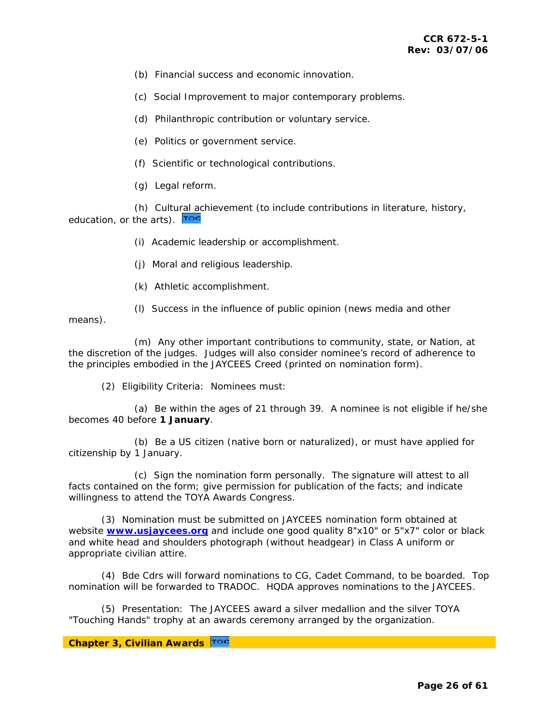- (b) Financial success and economic innovation.
- (c) Social Improvement to major contemporary problems.
- (d) Philanthropic contribution or voluntary service.
- (e) Politics or government service.
- (f) Scientific or technological contributions.
- (g) Legal reform.

 (h) Cultu[ral ac](#page-1-0)hievement (to include contributions in literature, history, education, or the arts). **Too** 

- (i) Academic leadership or accomplishment.
- (j) Moral and religious leadership.
- (k) Athletic accomplishment.
- (l) Success in the influence of public opinion (news media and other

means).

 (m) Any other important contributions to community, state, or Nation, at the discretion of the judges. Judges will also consider nominee's record of adherence to the principles embodied in the JAYCEES Creed (printed on nomination form).

(2) Eligibility Criteria: Nominees must:

 (a) Be within the ages of 21 through 39. A nominee is not eligible if he/she becomes 40 before **1 January**.

 (b) Be a US citizen (native born or naturalized), or must have applied for citizenship by 1 January.

 (c) Sign the nomination form personally. The signature will attest to all facts contained on the form; give permission for publication of the facts; and indicate willingness to attend the TOYA Awards Congress.

 (3) Nomination must be submitted on JAYCEES nomination form obtained at website **[www.usjaycees.org](http://www.usjaycees.org/)** and include one good quality 8"x10" or 5"x7" color or black and white head and shoulders photograph (without headgear) in Class A uniform or appropriate civilian attire.

 (4) Bde Cdrs will forward nominations to CG, Cadet Command, to be boarded. Top nomination will be forwarded to TRADOC. HQDA approves nominations to the JAYCEES.

 (5) Presentation: The JAYCEES award a silver medallion and the silver TOYA "Touching Hands" trophy at an awards ceremony arranged by the organization.

### **Chapter 3, Civilian Awards**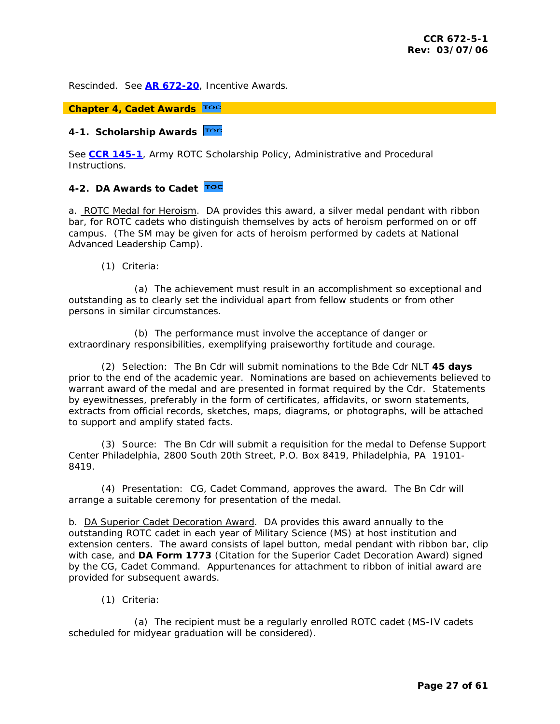<span id="page-26-0"></span>Rescinded. See **[AR 672-20](http://www.army.mil/usapa/epubs/pdf/r672_20.pdf)**, Incentive Awards.

## **Chapter 4, Cadet Awards**

## **4-1. Scholarship Awards**

See **[CCR 145-1](http://my.usaac.army.mil/portal/dt/usacc/HQ/library/CC_Regulations/)**, Army ROTC Scholarship Policy, Administrative and Procedural Instructions.

### **4-2. DA Awards to Cadet**

a. *ROTC Medal for Heroism*. DA provides this award, a silver medal pendant with ribbon bar, for ROTC cadets who distinguish themselves by acts of heroism performed on or off campus. (The SM may be given for acts of heroism performed by cadets at National Advanced Leadership Camp).

(1) Criteria:

 (a) The achievement must result in an accomplishment so exceptional and outstanding as to clearly set the individual apart from fellow students or from other persons in similar circumstances.

 (b) The performance must involve the acceptance of danger or extraordinary responsibilities, exemplifying praiseworthy fortitude and courage.

 (2) Selection: The Bn Cdr will submit nominations to the Bde Cdr NLT **45 days** prior to the end of the academic year. Nominations are based on achievements believed to warrant award of the medal and are presented in format required by the Cdr. Statements by eyewitnesses, preferably in the form of certificates, affidavits, or sworn statements, extracts from official records, sketches, maps, diagrams, or photographs, will be attached to support and amplify stated facts.

 (3) Source: The Bn Cdr will submit a requisition for the medal to Defense Support Center Philadelphia, 2800 South 20th Street, P.O. Box 8419, Philadelphia, PA 19101- 8419.

 (4) Presentation: CG, Cadet Command, approves the award. The Bn Cdr will arrange a suitable ceremony for presentation of the medal.

b. *DA Superior Cadet Decoration Award*. DA provides this award annually to the outstanding ROTC cadet in each year of Military Science (MS) at host institution and extension centers. The award consists of lapel button, medal pendant with ribbon bar, clip with case, and **DA Form 1773** (Citation for the Superior Cadet Decoration Award) signed by the CG, Cadet Command. Appurtenances for attachment to ribbon of initial award are provided for subsequent awards.

(1) Criteria:

 (a) The recipient must be a regularly enrolled ROTC cadet (MS-IV cadets scheduled for midyear graduation will be considered).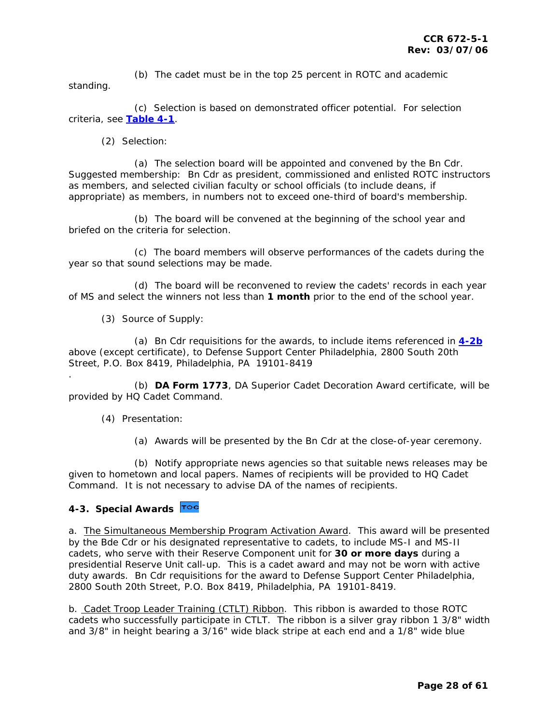<span id="page-27-0"></span> (b) The cadet must be in the top 25 percent in ROTC and academic standing.

 (c) Selection is based on demonstrated officer potential. For selection criteria, see **[Table 4-1](#page-47-0)**.

(2) Selection:

 (a) The selection board will be appointed and convened by the Bn Cdr. Suggested membership: Bn Cdr as president, commissioned and enlisted ROTC instructors as members, and selected civilian faculty or school officials (to include deans, if appropriate) as members, in numbers not to exceed one-third of board's membership.

 (b) The board will be convened at the beginning of the school year and briefed on the criteria for selection.

 (c) The board members will observe performances of the cadets during the year so that sound selections may be made.

 (d) The board will be reconvened to review the cadets' records in each year of MS and select the winners not less than **1 month** prior to the end of the school year.

(3) Source of Supply:

 (a) Bn Cdr requisitions for the awards, to include items referenced in **[4-2b](#page-26-0)** above (except certificate), to Defense Support Center Philadelphia, 2800 South 20th Street, P.O. Box 8419, Philadelphia, PA 19101-8419

 (b) **DA Form 1773**, DA Superior Cadet Decoration Award certificate, will be provided by HQ Cadet Command.

(4) Presentation:

.

(a) Awards will be presented by the Bn Cdr at the close-of-year ceremony.

 (b) Notify appropriate news agencies so that suitable news releases may be given to hometown and local papers. Names of recipients will be provided to HQ Cadet Command. It is not necessary to advise DA of the names of recipients.

### **4-3. Special Awards**

a. *The Simultaneous Membership Program Activation Award*. This award will be presented by the Bde Cdr or his designated representative to cadets, to include MS-I and MS-II cadets, who serve with their Reserve Component unit for **30 or more days** during a presidential Reserve Unit call-up. This is a cadet award and may not be worn with active duty awards. Bn Cdr requisitions for the award to Defense Support Center Philadelphia, 2800 South 20th Street, P.O. Box 8419, Philadelphia, PA 19101-8419.

b. *Cadet Troop Leader Training (CTLT) Ribbon*. This ribbon is awarded to those ROTC cadets who successfully participate in CTLT. The ribbon is a silver gray ribbon 1 3/8" width and 3/8" in height bearing a 3/16" wide black stripe at each end and a 1/8" wide blue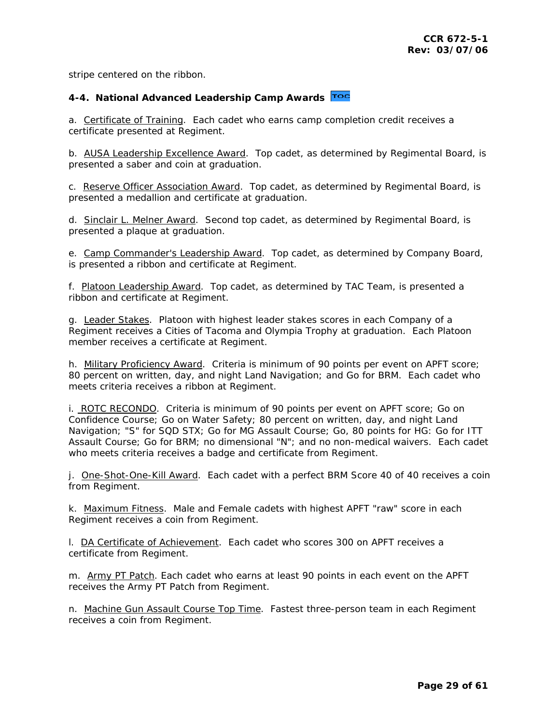<span id="page-28-0"></span>stripe centered on the ribbon.

### **4-4. National Advanced Leadership Camp Awards**

a. *Certificate of Training*. Each cadet who earns camp completion credit receives a certificate presented at Regiment.

b. *AUSA Leadership Excellence Award*. Top cadet, as determined by Regimental Board, is presented a saber and coin at graduation.

c. *Reserve Officer Association Award*. Top cadet, as determined by Regimental Board, is presented a medallion and certificate at graduation.

d. *Sinclair L. Melner Award*. Second top cadet, as determined by Regimental Board, is presented a plaque at graduation.

e. *Camp Commander's Leadership Award*. Top cadet, as determined by Company Board, is presented a ribbon and certificate at Regiment.

f. *Platoon Leadership Award*. Top cadet, as determined by TAC Team, is presented a ribbon and certificate at Regiment.

g. *Leader Stakes*. Platoon with highest leader stakes scores in each Company of a Regiment receives a Cities of Tacoma and Olympia Trophy at graduation. Each Platoon member receives a certificate at Regiment.

h. *Military Proficiency Award*. Criteria is minimum of 90 points per event on APFT score; 80 percent on written, day, and night Land Navigation; and Go for BRM. Each cadet who meets criteria receives a ribbon at Regiment.

i. *ROTC RECONDO*. Criteria is minimum of 90 points per event on APFT score; Go on Confidence Course; Go on Water Safety; 80 percent on written, day, and night Land Navigation; "S" for SQD STX; Go for MG Assault Course; Go, 80 points for HG: Go for ITT Assault Course; Go for BRM; no dimensional "N"; and no non-medical waivers. Each cadet who meets criteria receives a badge and certificate from Regiment.

j. *One-Shot-One-Kill Award*. Each cadet with a perfect BRM Score 40 of 40 receives a coin from Regiment.

k. *Maximum Fitness*. Male and Female cadets with highest APFT "raw" score in each Regiment receives a coin from Regiment.

l. *DA Certificate of Achievement*. Each cadet who scores 300 on APFT receives a certificate from Regiment.

m. *Army PT Patch*. Each cadet who earns at least 90 points in each event on the APFT receives the Army PT Patch from Regiment.

n. *Machine Gun Assault Course Top Time*. Fastest three-person team in each Regiment receives a coin from Regiment.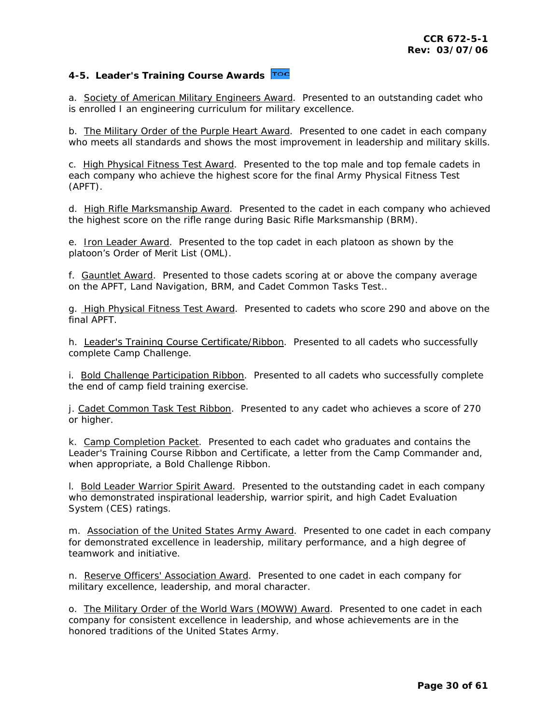## <span id="page-29-0"></span>**4-5. Leader's Training Course Awards**

a. *Society of American Military Engineers Award*. Presented to an outstanding cadet who is enrolled I an engineering curriculum for military excellence.

b. *The Military Order of the Purple Heart Award*. Presented to one cadet in each company who meets all standards and shows the most improvement in leadership and military skills.

c. *High Physical Fitness Test Award*. Presented to the top male and top female cadets in each company who achieve the highest score for the final Army Physical Fitness Test (APFT).

d. *High Rifle Marksmanship Award*. Presented to the cadet in each company who achieved the highest score on the rifle range during Basic Rifle Marksmanship (BRM).

e. *Iron Leader Award*. Presented to the top cadet in each platoon as shown by the platoon's Order of Merit List (OML).

f. *Gauntlet Award*. Presented to those cadets scoring at or above the company average on the APFT, Land Navigation, BRM, and Cadet Common Tasks Test..

g. *High Physical Fitness Test Award*. Presented to cadets who score 290 and above on the final APFT.

h. *Leader's Training Course Certificate/Ribbon*. Presented to all cadets who successfully complete Camp Challenge.

i. *Bold Challenge Participation Ribbon*. Presented to all cadets who successfully complete the end of camp field training exercise.

j. *Cadet Common Task Test Ribbon*. Presented to any cadet who achieves a score of 270 or higher.

k. *Camp Completion Packet*. Presented to each cadet who graduates and contains the Leader's Training Course Ribbon and Certificate, a letter from the Camp Commander and, when appropriate, a Bold Challenge Ribbon.

l. *Bold Leader Warrior Spirit Award*. Presented to the outstanding cadet in each company who demonstrated inspirational leadership, warrior spirit, and high Cadet Evaluation System (CES) ratings.

m. *Association of the United States Army Award*. Presented to one cadet in each company for demonstrated excellence in leadership, military performance, and a high degree of teamwork and initiative.

n. *Reserve Officers' Association Award*. Presented to one cadet in each company for military excellence, leadership, and moral character.

o. *The Military Order of the World Wars (MOWW) Award*. Presented to one cadet in each company for consistent excellence in leadership, and whose achievements are in the honored traditions of the United States Army.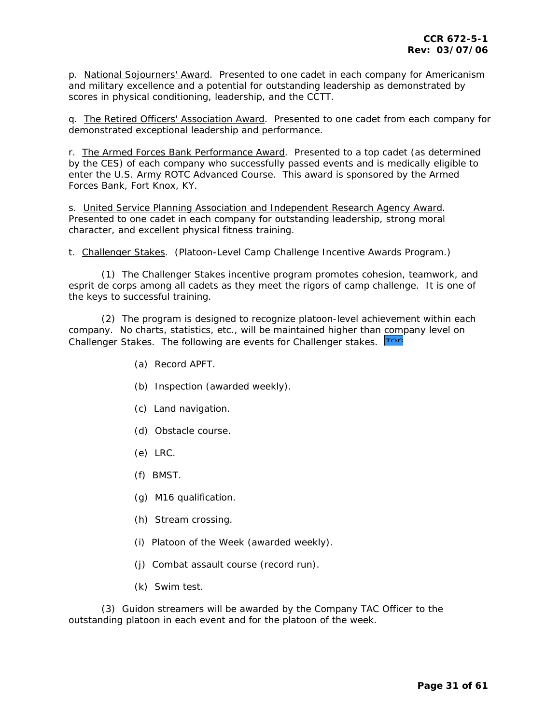p. *National Sojourners' Award*. Presented to one cadet in each company for Americanism and military excellence and a potential for outstanding leadership as demonstrated by scores in physical conditioning, leadership, and the CCTT.

q. *The Retired Officers' Association Award*. Presented to one cadet from each company for demonstrated exceptional leadership and performance.

r. *The Armed Forces Bank Performance Award*. Presented to a top cadet (as determined by the CES) of each company who successfully passed events and is medically eligible to enter the U.S. Army ROTC Advanced Course. This award is sponsored by the Armed Forces Bank, Fort Knox, KY.

s. *United Service Planning Association and Independent Research Agency Award*. Presented to one cadet in each company for outstanding leadership, strong moral character, and excellent physical fitness training.

t. *Challenger Stakes*. (Platoon-Level Camp Challenge Incentive Awards Program.)

 (1) The Challenger Stakes incentive program promotes cohesion, teamwork, and esprit de corps among all cadets as they meet the rigors of camp challenge. It is one of the keys to successful training.

 (2) The program is designed to recognize platoon-level achievement within each company. No charts, statistics, etc., will be maintained higher than [comp](#page-1-0)any level on Challenger Stakes. The following are events for Challenger stakes. Toc

- (a) Record APFT.
- (b) Inspection (awarded weekly).
- (c) Land navigation.
- (d) Obstacle course.
- (e) LRC.
- (f) BMST.
- (g) M16 qualification.
- (h) Stream crossing.
- (i) Platoon of the Week (awarded weekly).
- (j) Combat assault course (record run).
- (k) Swim test.

 (3) Guidon streamers will be awarded by the Company TAC Officer to the outstanding platoon in each event and for the platoon of the week.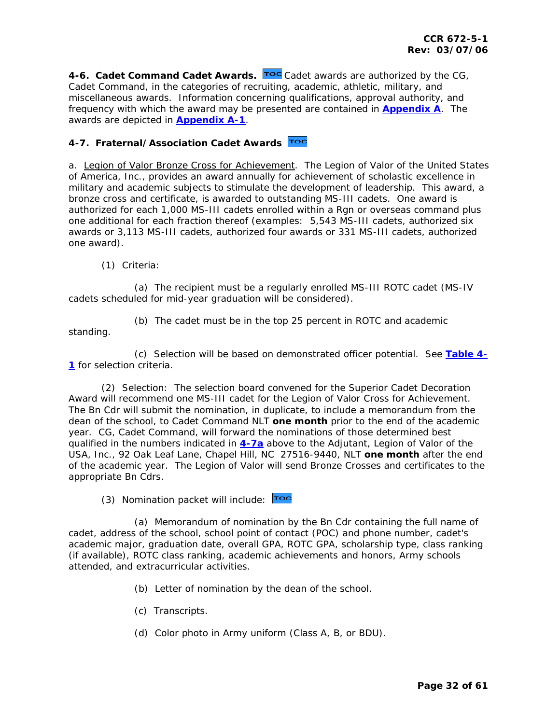<span id="page-31-0"></span>**4-6. [C](#page-1-0)adet Command Cadet Awards.** Toc Cadet awards are authorized by the CG, Cadet Command, in the categories of recruiting, academic, athletic, military, and miscellaneous awards. Information concerning qualifications, approval authority, and frequency with which the award may be presented are contained in **[Appendix A](#page-52-0)**. The awards are depicted in **[Appendix A-1](#page-55-0)**.

## **4-7. Fraternal/Association Cadet Awards**

a. *Legion of Valor Bronze Cross for Achievement*. The Legion of Valor of the United States of America, Inc., provides an award annually for achievement of scholastic excellence in military and academic subjects to stimulate the development of leadership. This award, a bronze cross and certificate, is awarded to outstanding MS-III cadets. One award is authorized for each 1,000 MS-III cadets enrolled within a Rgn or overseas command plus one additional for each fraction thereof (examples: 5,543 MS-III cadets, authorized six awards or 3,113 MS-III cadets, authorized four awards or 331 MS-III cadets, authorized one award).

(1) Criteria:

 (a) The recipient must be a regularly enrolled MS-III ROTC cadet (MS-IV cadets scheduled for mid-year graduation will be considered).

standing.

(b) The cadet must be in the top 25 percent in ROTC and academic

 (c) Selection will be based on demonstrated officer potential. See **[Table 4-](#page-47-0) [1](#page-47-0)** for selection criteria.

 (2) Selection: The selection board convened for the Superior Cadet Decoration Award will recommend one MS-III cadet for the Legion of Valor Cross for Achievement. The Bn Cdr will submit the nomination, in duplicate, to include a memorandum from the dean of the school, to Cadet Command NLT **one month** prior to the end of the academic year. CG, Cadet Command, will forward the nominations of those determined best qualified in the numbers indicated in **[4-7a](#page-31-0)** above to the Adjutant, Legion of Valor of the USA, Inc., 92 Oak Leaf Lane, Chapel Hill, NC 27516-9440, NLT **one month** after the end of the academic year. The Legion of Valor will send Bronze Crosses and certificates to the appropriate Bn Cdrs.

(3) Nomination packet will include: Toc

 (a) Memorandum of nomination by the Bn Cdr containing the full name of cadet, address of the school, school point of contact (POC) and phone number, cadet's academic major, graduation date, overall GPA, ROTC GPA, scholarship type, class ranking (if available), ROTC class ranking, academic achievements and honors, Army schools attended, and extracurricular activities.

- (b) Letter of nomination by the dean of the school.
- (c) Transcripts.
- (d) Color photo in Army uniform (Class A, B, or BDU).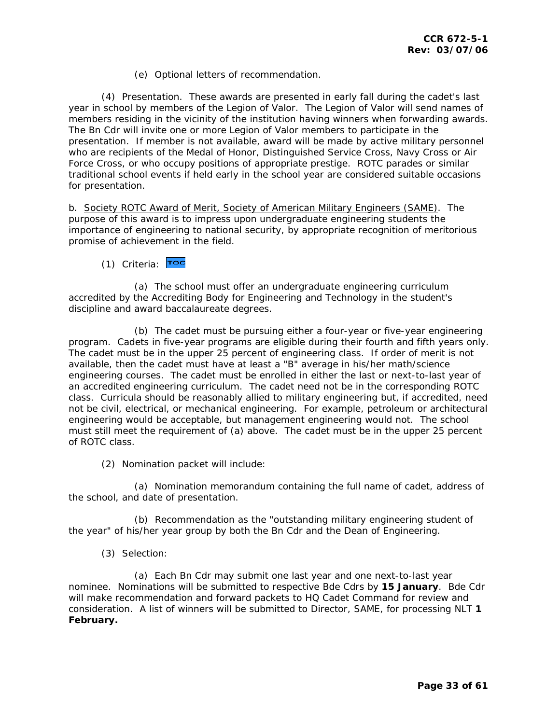(e) Optional letters of recommendation.

 (4) Presentation. These awards are presented in early fall during the cadet's last year in school by members of the Legion of Valor. The Legion of Valor will send names of members residing in the vicinity of the institution having winners when forwarding awards. The Bn Cdr will invite one or more Legion of Valor members to participate in the presentation. If member is not available, award will be made by active military personnel who are recipients of the Medal of Honor, Distinguished Service Cross, Navy Cross or Air Force Cross, or who occupy positions of appropriate prestige. ROTC parades or similar traditional school events if held early in the school year are considered suitable occasions for presentation.

b. *Society ROTC Award of Merit, Society of American Military Engineers (SAME)*. The purpose of this award is to impress upon undergraduate engineering students the importance of engineering to national security, by appropriate recognition of meritorious promise of achievement in the field.

### (1) Criteria: Toc

 (a) The school must offer an undergraduate engineering curriculum accredited by the Accrediting Body for Engineering and Technology in the student's discipline and award baccalaureate degrees.

 (b) The cadet must be pursuing either a four-year or five-year engineering program. Cadets in five-year programs are eligible during their fourth and fifth years only. The cadet must be in the upper 25 percent of engineering class. If order of merit is not available, then the cadet must have at least a "B" average in his/her math/science engineering courses. The cadet must be enrolled in either the last or next-to-last year of an accredited engineering curriculum. The cadet need not be in the corresponding ROTC class. Curricula should be reasonably allied to military engineering but, if accredited, need not be civil, electrical, or mechanical engineering. For example, petroleum or architectural engineering would be acceptable, but management engineering would not. The school must still meet the requirement of (a) above. The cadet must be in the upper 25 percent of ROTC class.

(2) Nomination packet will include:

 (a) Nomination memorandum containing the full name of cadet, address of the school, and date of presentation.

 (b) Recommendation as the "outstanding military engineering student of the year" of his/her year group by both the Bn Cdr and the Dean of Engineering.

(3) Selection:

 (a) Each Bn Cdr may submit one last year and one next-to-last year nominee. Nominations will be submitted to respective Bde Cdrs by **15 January**. Bde Cdr will make recommendation and forward packets to HQ Cadet Command for review and consideration. A list of winners will be submitted to Director, SAME, for processing NLT **1 February.**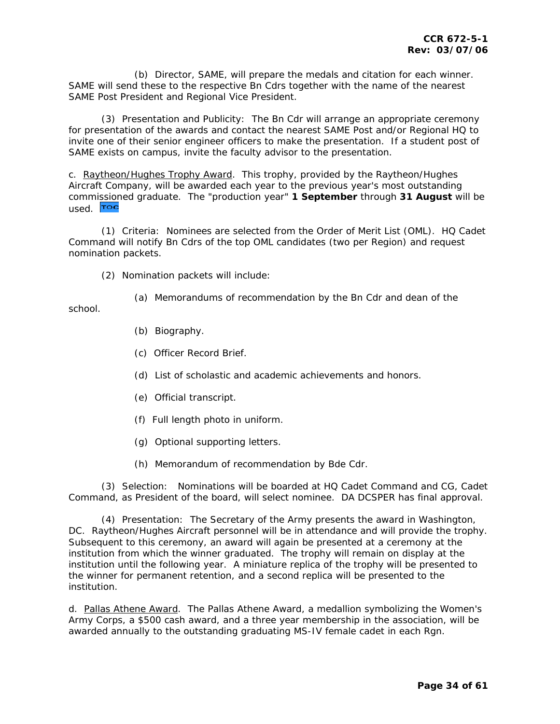(b) Director, SAME, will prepare the medals and citation for each winner. SAME will send these to the respective Bn Cdrs together with the name of the nearest SAME Post President and Regional Vice President.

 (3) Presentation and Publicity: The Bn Cdr will arrange an appropriate ceremony for presentation of the awards and contact the nearest SAME Post and/or Regional HQ to invite one of their senior engineer officers to make the presentation. If a student post of SAME exists on campus, invite the faculty advisor to the presentation.

c. *Raytheon/Hughes Trophy Award*. This trophy, provided by the Raytheon/Hughes Aircraft Company, will be awarded each year to the previous year's most outstanding comm[ission](#page-1-0)ed graduate. The "production year" **1 September** through **31 August** will be used. Toc

 (1) Criteria: Nominees are selected from the Order of Merit List (OML). HQ Cadet Command will notify Bn Cdrs of the top OML candidates (two per Region) and request nomination packets.

(2) Nomination packets will include:

(a) Memorandums of recommendation by the Bn Cdr and dean of the

school.

- (b) Biography.
- (c) Officer Record Brief.
- (d) List of scholastic and academic achievements and honors.
- (e) Official transcript.
- (f) Full length photo in uniform.
- (g) Optional supporting letters.
- (h) Memorandum of recommendation by Bde Cdr.

 (3) Selection: Nominations will be boarded at HQ Cadet Command and CG, Cadet Command, as President of the board, will select nominee. DA DCSPER has final approval.

 (4) Presentation: The Secretary of the Army presents the award in Washington, DC. Raytheon/Hughes Aircraft personnel will be in attendance and will provide the trophy. Subsequent to this ceremony, an award will again be presented at a ceremony at the institution from which the winner graduated. The trophy will remain on display at the institution until the following year. A miniature replica of the trophy will be presented to the winner for permanent retention, and a second replica will be presented to the institution.

d. *Pallas Athene Award*. The Pallas Athene Award, a medallion symbolizing the Women's Army Corps, a \$500 cash award, and a three year membership in the association, will be awarded annually to the outstanding graduating MS-IV female cadet in each Rgn.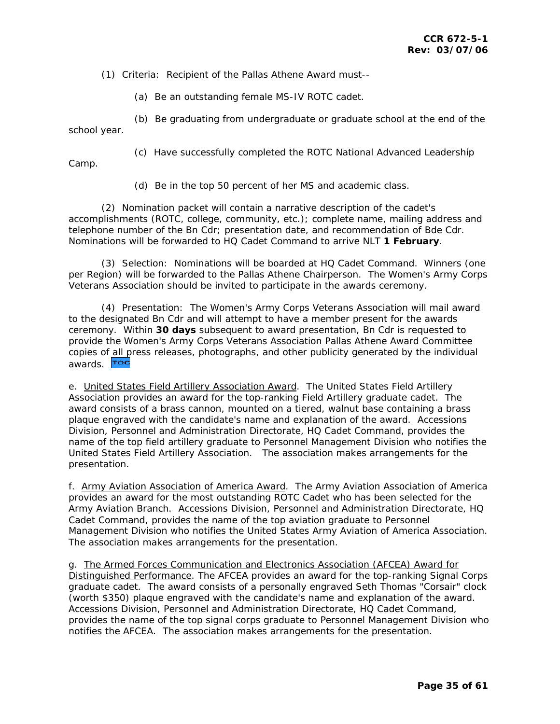(1) Criteria: Recipient of the Pallas Athene Award must--

(a) Be an outstanding female MS-IV ROTC cadet.

 (b) Be graduating from undergraduate or graduate school at the end of the school year.

Camp.

(c) Have successfully completed the ROTC National Advanced Leadership

(d) Be in the top 50 percent of her MS and academic class.

 (2) Nomination packet will contain a narrative description of the cadet's accomplishments (ROTC, college, community, etc.); complete name, mailing address and telephone number of the Bn Cdr; presentation date, and recommendation of Bde Cdr. Nominations will be forwarded to HQ Cadet Command to arrive NLT **1 February**.

 (3) Selection: Nominations will be boarded at HQ Cadet Command. Winners (one per Region) will be forwarded to the Pallas Athene Chairperson. The Women's Army Corps Veterans Association should be invited to participate in the awards ceremony.

 (4) Presentation: The Women's Army Corps Veterans Association will mail award to the designated Bn Cdr and will attempt to have a member present for the awards ceremony. Within **30 days** subsequent to award presentation, Bn Cdr is requested to provide the Women's Army Corps Veterans Association Pallas Athene Award Committee copies o[f all pr](#page-1-0)ess releases, photographs, and other publicity generated by the individual awards. Toc

e. *United States Field Artillery Association Award*. The United States Field Artillery Association provides an award for the top-ranking Field Artillery graduate cadet. The award consists of a brass cannon, mounted on a tiered, walnut base containing a brass plaque engraved with the candidate's name and explanation of the award. Accessions Division, Personnel and Administration Directorate, HQ Cadet Command, provides the name of the top field artillery graduate to Personnel Management Division who notifies the United States Field Artillery Association. The association makes arrangements for the presentation.

f. *Army Aviation Association of America Award*. The Army Aviation Association of America provides an award for the most outstanding ROTC Cadet who has been selected for the Army Aviation Branch. Accessions Division, Personnel and Administration Directorate, HQ Cadet Command, provides the name of the top aviation graduate to Personnel Management Division who notifies the United States Army Aviation of America Association. The association makes arrangements for the presentation.

g. *The Armed Forces Communication and Electronics Association (AFCEA) Award for Distinguished Performance*. The AFCEA provides an award for the top-ranking Signal Corps graduate cadet. The award consists of a personally engraved Seth Thomas "Corsair" clock (worth \$350) plaque engraved with the candidate's name and explanation of the award. Accessions Division, Personnel and Administration Directorate, HQ Cadet Command, provides the name of the top signal corps graduate to Personnel Management Division who notifies the AFCEA. The association makes arrangements for the presentation.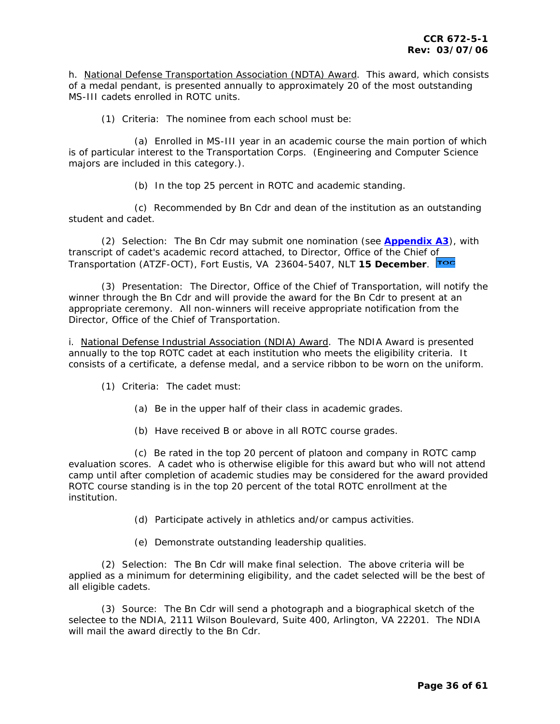h. *National Defense Transportation Association (NDTA) Award*. This award, which consists of a medal pendant, is presented annually to approximately 20 of the most outstanding MS-III cadets enrolled in ROTC units.

(1) Criteria: The nominee from each school must be:

 (a) Enrolled in MS-III year in an academic course the main portion of which is of particular interest to the Transportation Corps. (Engineering and Computer Science majors are included in this category.).

(b) In the top 25 percent in ROTC and academic standing.

 (c) Recommended by Bn Cdr and dean of the institution as an outstanding student and cadet.

 (2) Selection: The Bn Cdr may submit one nomination (see **[Appendix A3](#page-57-0)**), with transcript of cadet's academic record attached, to Director, Office of the Chief [of](#page-1-0)  Transportation (ATZF-OCT), Fort Eustis, VA 23604-5407, NLT **15 December**.

 (3) Presentation: The Director, Office of the Chief of Transportation, will notify the winner through the Bn Cdr and will provide the award for the Bn Cdr to present at an appropriate ceremony. All non-winners will receive appropriate notification from the Director, Office of the Chief of Transportation.

i. *National Defense Industrial Association (NDIA) Award*. The NDIA Award is presented annually to the top ROTC cadet at each institution who meets the eligibility criteria. It consists of a certificate, a defense medal, and a service ribbon to be worn on the uniform.

- (1) Criteria: The cadet must:
	- (a) Be in the upper half of their class in academic grades.
	- (b) Have received B or above in all ROTC course grades.

 (c) Be rated in the top 20 percent of platoon and company in ROTC camp evaluation scores. A cadet who is otherwise eligible for this award but who will not attend camp until after completion of academic studies may be considered for the award provided ROTC course standing is in the top 20 percent of the total ROTC enrollment at the institution.

- (d) Participate actively in athletics and/or campus activities.
- (e) Demonstrate outstanding leadership qualities.

 (2) Selection: The Bn Cdr will make final selection. The above criteria will be applied as a minimum for determining eligibility, and the cadet selected will be the best of all eligible cadets.

 (3) Source: The Bn Cdr will send a photograph and a biographical sketch of the selectee to the NDIA, 2111 Wilson Boulevard, Suite 400, Arlington, VA 22201. The NDIA will mail the award directly to the Bn Cdr.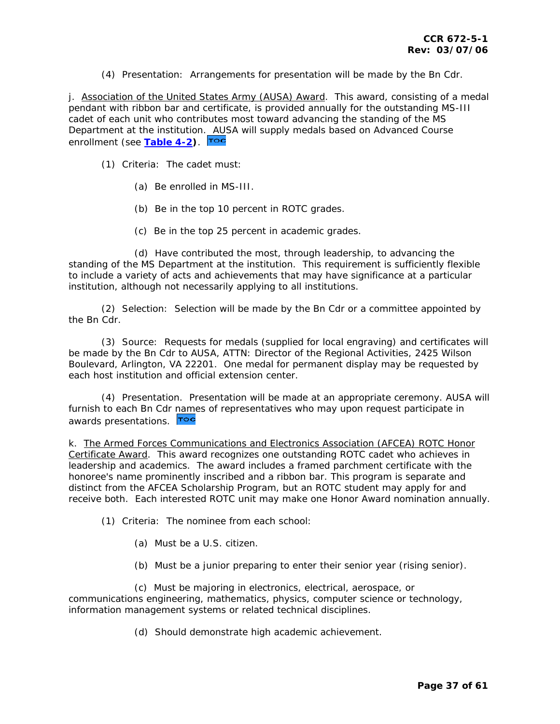(4) Presentation: Arrangements for presentation will be made by the Bn Cdr.

j. *Association of the United States Army (AUSA) Award*. This award, consisting of a medal pendant with ribbon bar and certificate, is provided annually for the outstanding MS-III cadet of each unit who contributes most toward advancing the standing of the MS Department at the institution[. AUS](#page-1-0)A will supply medals based on Advanced Course enrollment (see **[Table 4-2\)](#page-47-0)**.

(1) Criteria: The cadet must:

- (a) Be enrolled in MS-III.
- (b) Be in the top 10 percent in ROTC grades.
- (c) Be in the top 25 percent in academic grades.

 (d) Have contributed the most, through leadership, to advancing the standing of the MS Department at the institution. This requirement is sufficiently flexible to include a variety of acts and achievements that may have significance at a particular institution, although not necessarily applying to all institutions.

 (2) Selection: Selection will be made by the Bn Cdr or a committee appointed by the Bn Cdr.

 (3) Source: Requests for medals (supplied for local engraving) and certificates will be made by the Bn Cdr to AUSA, ATTN: Director of the Regional Activities, 2425 Wilson Boulevard, Arlington, VA 22201. One medal for permanent display may be requested by each host institution and official extension center.

 (4) Presentation. Presentation will be made at an appropriate ceremony. AUSA will furnish to each Bn Cdr [name](#page-1-0)s of representatives who may upon request participate in awards presentations. Toc

k. *The Armed Forces Communications and Electronics Association (AFCEA) ROTC Honor Certificate Award*. This award recognizes one outstanding ROTC cadet who achieves in leadership and academics. The award includes a framed parchment certificate with the honoree's name prominently inscribed and a ribbon bar. This program is separate and distinct from the AFCEA Scholarship Program, but an ROTC student may apply for and receive both. Each interested ROTC unit may make one Honor Award nomination annually.

(1) Criteria: The nominee from each school:

- (a) Must be a U.S. citizen.
- (b) Must be a junior preparing to enter their senior year (rising senior).

 (c) Must be majoring in electronics, electrical, aerospace, or communications engineering, mathematics, physics, computer science or technology, information management systems or related technical disciplines.

(d) Should demonstrate high academic achievement.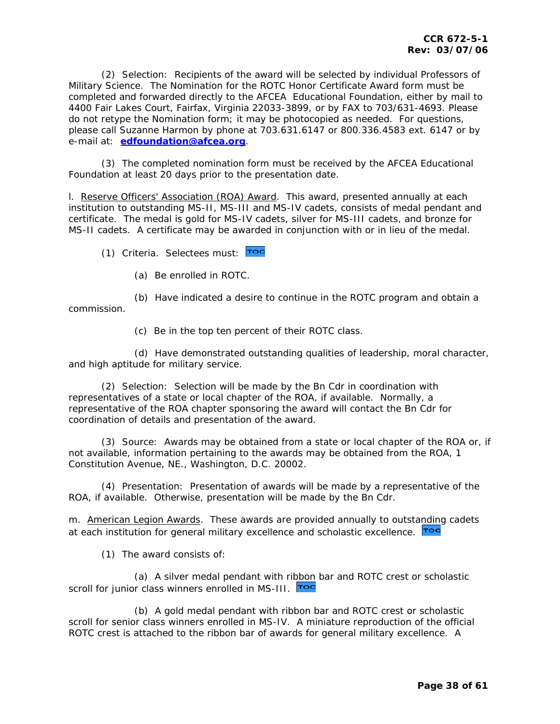(2) Selection: Recipients of the award will be selected by individual Professors of Military Science. The Nomination for the ROTC Honor Certificate Award form must be completed and forwarded directly to the AFCEA Educational Foundation, either by mail to 4400 Fair Lakes Court, Fairfax, Virginia 22033-3899, or by FAX to 703/631-4693. Please do not retype the Nomination form; it may be photocopied as needed. For questions, please call Suzanne Harmon by phone at 703.631.6147 or 800.336.4583 ext. 6147 or by e-mail at: **[edfoundation@afcea.org](mailto:edfoundation@afcea.org)**.

 (3) The completed nomination form must be received by the AFCEA Educational Foundation at least 20 days prior to the presentation date.

l. *Reserve Officers' Association (ROA) Award*. This award, presented annually at each institution to outstanding MS-II, MS-III and MS-IV cadets, consists of medal pendant and certificate. The medal is gold for MS-IV cadets, silver for MS-III cadets, and bronze for MS-II cadets. A certificate may be awarded in conjunction with or in lieu of the medal.

(1) Criteria. Selectees must: Toc

(a) Be enrolled in ROTC.

 (b) Have indicated a desire to continue in the ROTC program and obtain a commission.

(c) Be in the top ten percent of their ROTC class.

 (d) Have demonstrated outstanding qualities of leadership, moral character, and high aptitude for military service.

 (2) Selection: Selection will be made by the Bn Cdr in coordination with representatives of a state or local chapter of the ROA, if available. Normally, a representative of the ROA chapter sponsoring the award will contact the Bn Cdr for coordination of details and presentation of the award.

 (3) Source: Awards may be obtained from a state or local chapter of the ROA or, if not available, information pertaining to the awards may be obtained from the ROA, 1 Constitution Avenue, NE., Washington, D.C. 20002.

 (4) Presentation: Presentation of awards will be made by a representative of the ROA, if available. Otherwise, presentation will be made by the Bn Cdr.

m. *American Legion Awards*. These awards are provided annually to outst[anding](#page-1-0) cadets at each institution for general military excellence and scholastic excellence. To

(1) The award consists of:

 (a) A silver medal pendant with ri[bbon](#page-1-0) bar and ROTC crest or scholastic scroll for junior class winners enrolled in MS-III. Toc

 (b) A gold medal pendant with ribbon bar and ROTC crest or scholastic scroll for senior class winners enrolled in MS-IV. A miniature reproduction of the official ROTC crest is attached to the ribbon bar of awards for general military excellence. A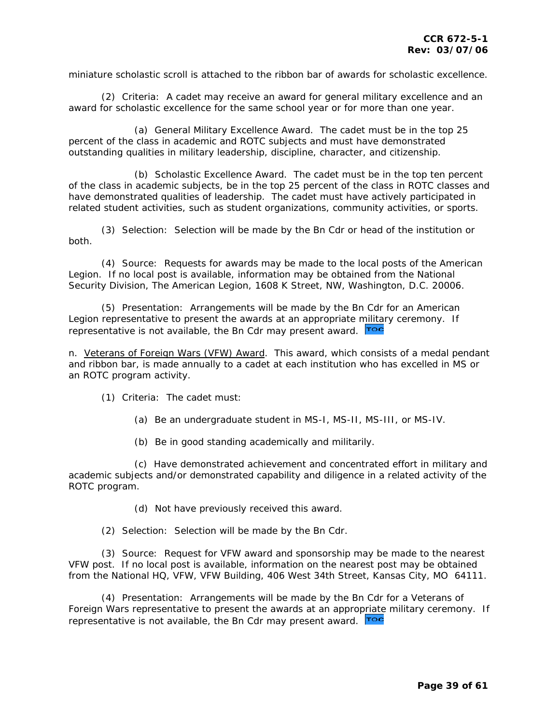miniature scholastic scroll is attached to the ribbon bar of awards for scholastic excellence.

 (2) Criteria: A cadet may receive an award for general military excellence and an award for scholastic excellence for the same school year or for more than one year.

 (a) General Military Excellence Award. The cadet must be in the top 25 percent of the class in academic and ROTC subjects and must have demonstrated outstanding qualities in military leadership, discipline, character, and citizenship.

 (b) Scholastic Excellence Award. The cadet must be in the top ten percent of the class in academic subjects, be in the top 25 percent of the class in ROTC classes and have demonstrated qualities of leadership. The cadet must have actively participated in related student activities, such as student organizations, community activities, or sports.

 (3) Selection: Selection will be made by the Bn Cdr or head of the institution or both.

 (4) Source: Requests for awards may be made to the local posts of the American Legion. If no local post is available, information may be obtained from the National Security Division, The American Legion, 1608 K Street, NW, Washington, D.C. 20006.

 (5) Presentation: Arrangements will be made by the Bn Cdr for an American Legion representative to present the awards at an appropriate [militar](#page-1-0)y ceremony. If representative is not available, the Bn Cdr may present award. Toc

n. *Veterans of Foreign Wars (VFW) Award*. This award, which consists of a medal pendant and ribbon bar, is made annually to a cadet at each institution who has excelled in MS or an ROTC program activity.

(1) Criteria: The cadet must:

(a) Be an undergraduate student in MS-I, MS-II, MS-III, or MS-IV.

(b) Be in good standing academically and militarily.

 (c) Have demonstrated achievement and concentrated effort in military and academic subjects and/or demonstrated capability and diligence in a related activity of the ROTC program.

(d) Not have previously received this award.

(2) Selection: Selection will be made by the Bn Cdr.

 (3) Source: Request for VFW award and sponsorship may be made to the nearest VFW post. If no local post is available, information on the nearest post may be obtained from the National HQ, VFW, VFW Building, 406 West 34th Street, Kansas City, MO 64111.

 (4) Presentation: Arrangements will be made by the Bn Cdr for a Veterans of Foreign Wars representative to present the awards at an appro[priate](#page-1-0) military ceremony. If representative is not available, the Bn Cdr may present award. **Too**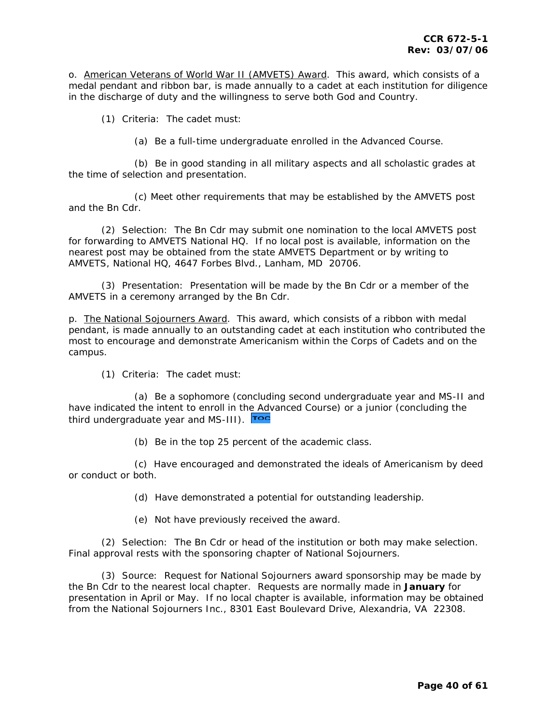o. *American Veterans of World War II (AMVETS) Award*. This award, which consists of a medal pendant and ribbon bar, is made annually to a cadet at each institution for diligence in the discharge of duty and the willingness to serve both God and Country.

(1) Criteria: The cadet must:

(a) Be a full-time undergraduate enrolled in the Advanced Course.

 (b) Be in good standing in all military aspects and all scholastic grades at the time of selection and presentation.

 (c) Meet other requirements that may be established by the AMVETS post and the Bn Cdr.

 (2) Selection: The Bn Cdr may submit one nomination to the local AMVETS post for forwarding to AMVETS National HQ. If no local post is available, information on the nearest post may be obtained from the state AMVETS Department or by writing to AMVETS, National HQ, 4647 Forbes Blvd., Lanham, MD 20706.

 (3) Presentation: Presentation will be made by the Bn Cdr or a member of the AMVETS in a ceremony arranged by the Bn Cdr.

p. *The National Sojourners Award*. This award, which consists of a ribbon with medal pendant, is made annually to an outstanding cadet at each institution who contributed the most to encourage and demonstrate Americanism within the Corps of Cadets and on the campus.

(1) Criteria: The cadet must:

 (a) Be a sophomore (concluding second undergraduate year and MS-II and have indicated the intent to enroll in t[he Adv](#page-1-0)anced Course) or a junior (concluding the third undergraduate year and MS-III). **Too** 

(b) Be in the top 25 percent of the academic class.

 (c) Have encouraged and demonstrated the ideals of Americanism by deed or conduct or both.

(d) Have demonstrated a potential for outstanding leadership.

(e) Not have previously received the award.

 (2) Selection: The Bn Cdr or head of the institution or both may make selection. Final approval rests with the sponsoring chapter of National Sojourners.

 (3) Source: Request for National Sojourners award sponsorship may be made by the Bn Cdr to the nearest local chapter. Requests are normally made in **January** for presentation in April or May. If no local chapter is available, information may be obtained from the National Sojourners Inc., 8301 East Boulevard Drive, Alexandria, VA 22308.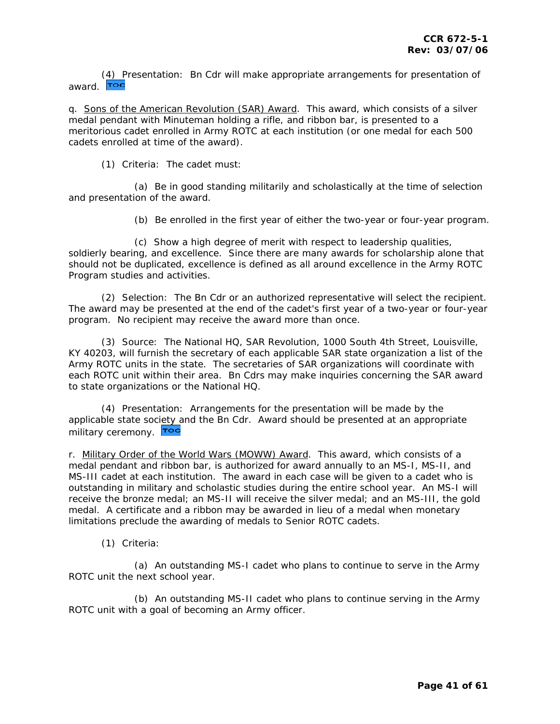[\(4\) Pr](#page-1-0)esentation: Bn Cdr will make appropriate arrangements for presentation of award. Toc

q. *Sons of the American Revolution (SAR) Award*. This award, which consists of a silver medal pendant with Minuteman holding a rifle, and ribbon bar, is presented to a meritorious cadet enrolled in Army ROTC at each institution (or one medal for each 500 cadets enrolled at time of the award).

(1) Criteria: The cadet must:

 (a) Be in good standing militarily and scholastically at the time of selection and presentation of the award.

(b) Be enrolled in the first year of either the two-year or four-year program.

 (c) Show a high degree of merit with respect to leadership qualities, soldierly bearing, and excellence. Since there are many awards for scholarship alone that should not be duplicated, excellence is defined as all around excellence in the Army ROTC Program studies and activities.

 (2) Selection: The Bn Cdr or an authorized representative will select the recipient. The award may be presented at the end of the cadet's first year of a two-year or four-year program. No recipient may receive the award more than once.

 (3) Source: The National HQ, SAR Revolution, 1000 South 4th Street, Louisville, KY 40203, will furnish the secretary of each applicable SAR state organization a list of the Army ROTC units in the state. The secretaries of SAR organizations will coordinate with each ROTC unit within their area. Bn Cdrs may make inquiries concerning the SAR award to state organizations or the National HQ.

 (4) Presentation: Arrangements for the presentation will be made by the applicable state soc[iety a](#page-1-0)nd the Bn Cdr. Award should be presented at an appropriate military ceremony. Toc

r. *Military Order of the World Wars (MOWW) Award*. This award, which consists of a medal pendant and ribbon bar, is authorized for award annually to an MS-I, MS-II, and MS-III cadet at each institution. The award in each case will be given to a cadet who is outstanding in military and scholastic studies during the entire school year. An MS-I will receive the bronze medal; an MS-II will receive the silver medal; and an MS-III, the gold medal. A certificate and a ribbon may be awarded in lieu of a medal when monetary limitations preclude the awarding of medals to Senior ROTC cadets.

(1) Criteria:

 (a) An outstanding MS-I cadet who plans to continue to serve in the Army ROTC unit the next school year.

 (b) An outstanding MS-II cadet who plans to continue serving in the Army ROTC unit with a goal of becoming an Army officer.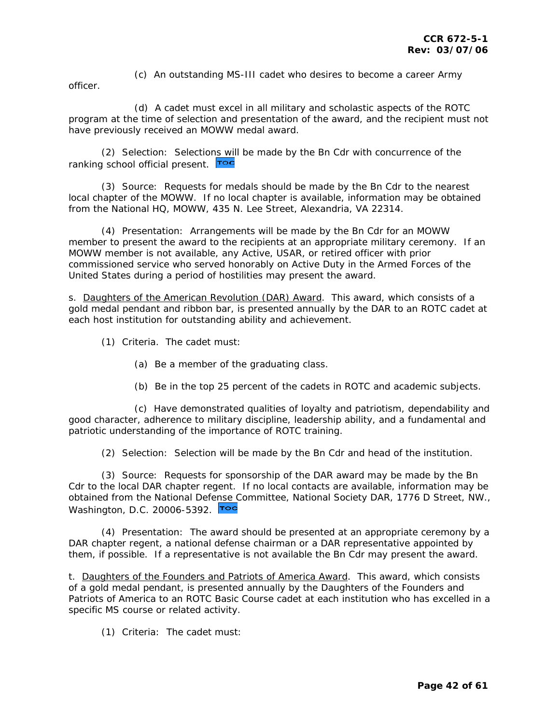(c) An outstanding MS-III cadet who desires to become a career Army

officer.

 (d) A cadet must excel in all military and scholastic aspects of the ROTC program at the time of selection and presentation of the award, and the recipient must not have previously received an MOWW medal award.

 (2) Selection: Selectio[ns will](#page-1-0) be made by the Bn Cdr with concurrence of the ranking school official present. Toc

 (3) Source: Requests for medals should be made by the Bn Cdr to the nearest local chapter of the MOWW. If no local chapter is available, information may be obtained from the National HQ, MOWW, 435 N. Lee Street, Alexandria, VA 22314.

 (4) Presentation: Arrangements will be made by the Bn Cdr for an MOWW member to present the award to the recipients at an appropriate military ceremony. If an MOWW member is not available, any Active, USAR, or retired officer with prior commissioned service who served honorably on Active Duty in the Armed Forces of the United States during a period of hostilities may present the award.

s. *Daughters of the American Revolution (DAR) Award*. This award, which consists of a gold medal pendant and ribbon bar, is presented annually by the DAR to an ROTC cadet at each host institution for outstanding ability and achievement.

(1) Criteria. The cadet must:

- (a) Be a member of the graduating class.
- (b) Be in the top 25 percent of the cadets in ROTC and academic subjects.

 (c) Have demonstrated qualities of loyalty and patriotism, dependability and good character, adherence to military discipline, leadership ability, and a fundamental and patriotic understanding of the importance of ROTC training.

(2) Selection: Selection will be made by the Bn Cdr and head of the institution.

 (3) Source: Requests for sponsorship of the DAR award may be made by the Bn Cdr to the local DAR chapter regent. If no local contacts are available, information may be obtained from the National Def[ense C](#page-1-0)ommittee, National Society DAR, 1776 D Street, NW., Washington, D.C. 20006-5392. Too

 (4) Presentation: The award should be presented at an appropriate ceremony by a DAR chapter regent, a national defense chairman or a DAR representative appointed by them, if possible. If a representative is not available the Bn Cdr may present the award.

t. *Daughters of the Founders and Patriots of America Award*. This award, which consists of a gold medal pendant, is presented annually by the Daughters of the Founders and Patriots of America to an ROTC Basic Course cadet at each institution who has excelled in a specific MS course or related activity.

(1) Criteria: The cadet must: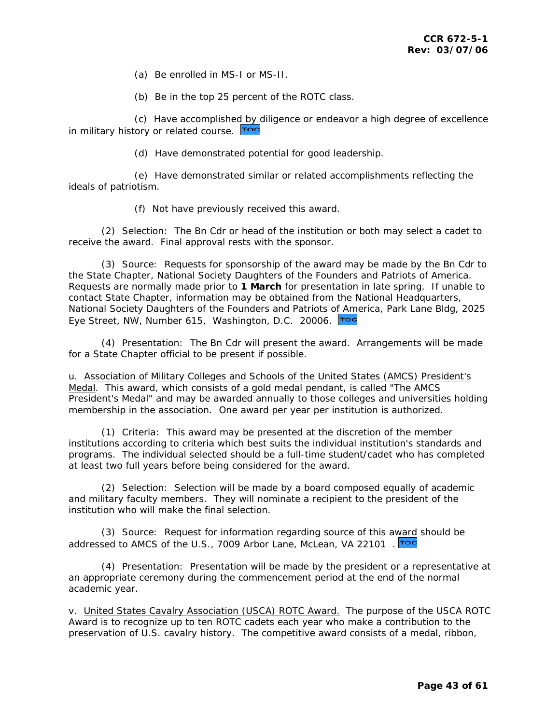(a) Be enrolled in MS-I or MS-II.

(b) Be in the top 25 percent of the ROTC class.

 (c) Have accomplishe[d by d](#page-1-0)iligence or endeavor a high degree of excellence in military history or related course. Toc

(d) Have demonstrated potential for good leadership.

 (e) Have demonstrated similar or related accomplishments reflecting the ideals of patriotism.

(f) Not have previously received this award.

 (2) Selection: The Bn Cdr or head of the institution or both may select a cadet to receive the award. Final approval rests with the sponsor.

 (3) Source: Requests for sponsorship of the award may be made by the Bn Cdr to the State Chapter, National Society Daughters of the Founders and Patriots of America. Requests are normally made prior to **1 March** for presentation in late spring. If unable to contact State Chapter, information may be obtained from the National Headquarters, National Society Daughters of the Founders and Patriots o[f Ame](#page-1-0)rica, Park Lane Bldg, 2025 Eye Street, NW, Number 615, Washington, D.C. 20006. Toc

 (4) Presentation: The Bn Cdr will present the award. Arrangements will be made for a State Chapter official to be present if possible.

u. *Association of Military Colleges and Schools of the United States (AMCS) President's Medal*. This award, which consists of a gold medal pendant, is called "The AMCS President's Medal" and may be awarded annually to those colleges and universities holding membership in the association. One award per year per institution is authorized.

 (1) Criteria: This award may be presented at the discretion of the member institutions according to criteria which best suits the individual institution's standards and programs. The individual selected should be a full-time student/cadet who has completed at least two full years before being considered for the award.

 (2) Selection: Selection will be made by a board composed equally of academic and military faculty members. They will nominate a recipient to the president of the institution who will make the final selection.

 (3) Source: Request for information regarding source of this a[ward](#page-1-0) should be addressed to AMCS of the U.S., 7009 Arbor Lane, McLean, VA 22101.

 (4) Presentation: Presentation will be made by the president or a representative at an appropriate ceremony during the commencement period at the end of the normal academic year.

v. *United States Cavalry Association (USCA) ROTC Award.* The purpose of the USCA ROTC Award is to recognize up to ten ROTC cadets each year who make a contribution to the preservation of U.S. cavalry history. The competitive award consists of a medal, ribbon,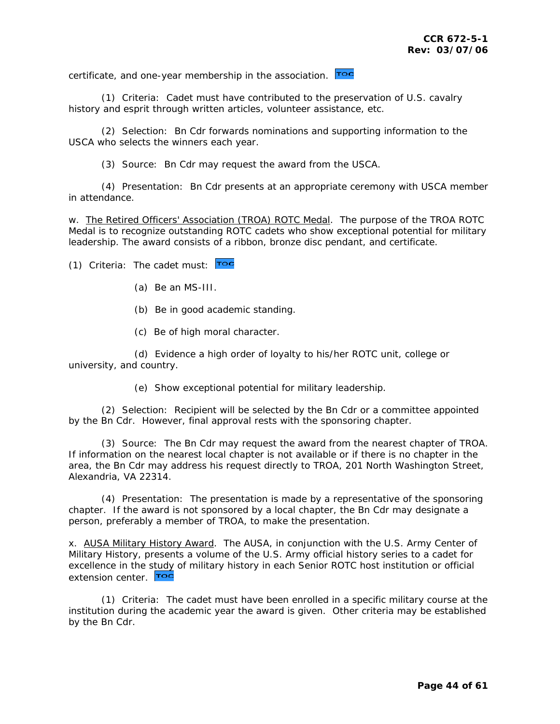certificate, and one-year membership in the association. Too

 (1) Criteria: Cadet must have contributed to the preservation of U.S. cavalry history and esprit through written articles, volunteer assistance, etc.

 (2) Selection: Bn Cdr forwards nominations and supporting information to the USCA who selects the winners each year.

(3) Source: Bn Cdr may request the award from the USCA.

 (4) Presentation: Bn Cdr presents at an appropriate ceremony with USCA member in attendance.

w. *The Retired Officers' Association (TROA) ROTC Medal*. The purpose of the TROA ROTC Medal is to recognize outstanding ROTC cadets who show exceptional potential for military leadership. The award consists of a ribbon, bronze disc pendant, and certificate.

(1)Criteria: The cadet must: Toc

- (a) Be an MS-III.
- (b) Be in good academic standing.
- (c) Be of high moral character.

 (d) Evidence a high order of loyalty to his/her ROTC unit, college or university, and country.

(e) Show exceptional potential for military leadership.

 (2) Selection: Recipient will be selected by the Bn Cdr or a committee appointed by the Bn Cdr. However, final approval rests with the sponsoring chapter.

 (3) Source: The Bn Cdr may request the award from the nearest chapter of TROA. If information on the nearest local chapter is not available or if there is no chapter in the area, the Bn Cdr may address his request directly to TROA, 201 North Washington Street, Alexandria, VA 22314.

 (4) Presentation: The presentation is made by a representative of the sponsoring chapter. If the award is not sponsored by a local chapter, the Bn Cdr may designate a person, preferably a member of TROA, to make the presentation.

x. *AUSA Military History Award*. The AUSA, in conjunction with the U.S. Army Center of Military History, presents a volume of the U.S. Army official history series to a cadet for excellence in the [study](#page-1-0) of military history in each Senior ROTC host institution or official extension center. Too

 (1) Criteria: The cadet must have been enrolled in a specific military course at the institution during the academic year the award is given. Other criteria may be established by the Bn Cdr.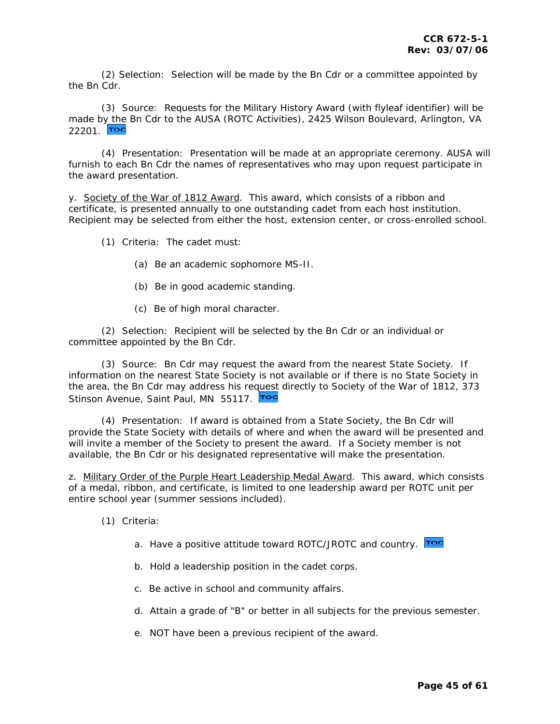(2) Selection: Selection will be made by the Bn Cdr or a committee appointed by the Bn Cdr.

 (3) Source: Requests for the Military History Award (with flyleaf identifier) will be made b[y the](#page-1-0) Bn Cdr to the AUSA (ROTC Activities), 2425 Wilson Boulevard, Arlington, VA 22201. Toc

 (4) Presentation: Presentation will be made at an appropriate ceremony. AUSA will furnish to each Bn Cdr the names of representatives who may upon request participate in the award presentation.

y. *Society of the War of 1812 Award*. This award, which consists of a ribbon and certificate, is presented annually to one outstanding cadet from each host institution. Recipient may be selected from either the host, extension center, or cross-enrolled school.

(1) Criteria: The cadet must:

- (a) Be an academic sophomore MS-II.
- (b) Be in good academic standing.
- (c) Be of high moral character.

 (2) Selection: Recipient will be selected by the Bn Cdr or an individual or committee appointed by the Bn Cdr.

 (3) Source: Bn Cdr may request the award from the nearest State Society. If information on the nearest State Society is not available or if there is no State Society in the area, the Bn Cdr may address his re[quest](#page-1-0) directly to Society of the War of 1812, 373 Stinson Avenue, Saint Paul, MN 55117.

 (4) Presentation: If award is obtained from a State Society, the Bn Cdr will provide the State Society with details of where and when the award will be presented and will invite a member of the Society to present the award. If a Society member is not available, the Bn Cdr or his designated representative will make the presentation.

z. *Military Order of the Purple Heart Leadership Medal Award*. This award, which consists of a medal, ribbon, and certificate, is limited to one leadership award per ROTC unit per entire school year (summer sessions included).

- (1) Criteria:
	- a. Have a positive attitude toward ROTC/JROTC and country. Too
	- b. Hold a leadership position in the cadet corps.
	- c. Be active in school and community affairs.
	- d. Attain a grade of "B" or better in all subjects for the previous semester.
	- e. NOT have been a previous recipient of the award.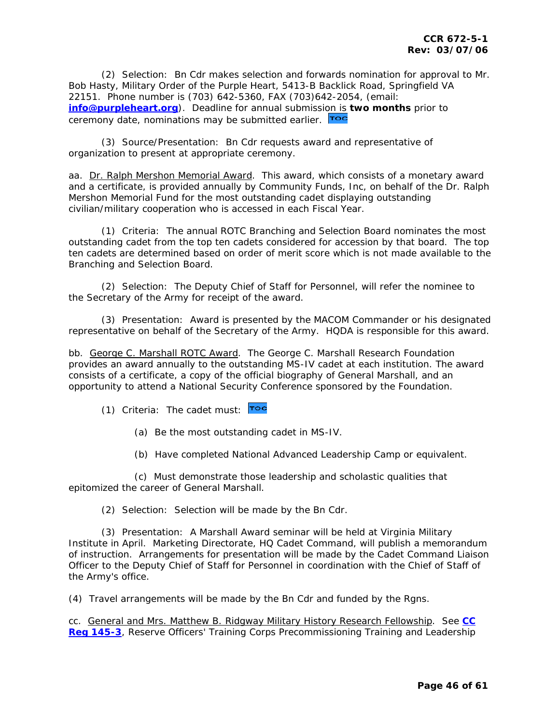(2) Selection: Bn Cdr makes selection and forwards nomination for approval to Mr. Bob Hasty, Military Order of the Purple Heart, 5413-B Backlick Road, Springfield VA 22151. Phone number is (703) 642-5360, FAX (703)642-2054, (email: **[info@purpleheart.org](mailto:info@purpleheart.org)**). Deadline for annual submissi[on is](#page-1-0) **two months** prior to ceremony date, nominations may be submitted earlier. **Toc** 

 (3) Source/Presentation: Bn Cdr requests award and representative of organization to present at appropriate ceremony.

aa. *Dr. Ralph Mershon Memorial Award*. This award, which consists of a monetary award and a certificate, is provided annually by Community Funds, Inc, on behalf of the Dr. Ralph Mershon Memorial Fund for the most outstanding cadet displaying outstanding civilian/military cooperation who is accessed in each Fiscal Year.

 (1) Criteria: The annual ROTC Branching and Selection Board nominates the most outstanding cadet from the top ten cadets considered for accession by that board. The top ten cadets are determined based on order of merit score which is not made available to the Branching and Selection Board.

 (2) Selection: The Deputy Chief of Staff for Personnel, will refer the nominee to the Secretary of the Army for receipt of the award.

 (3) Presentation: Award is presented by the MACOM Commander or his designated representative on behalf of the Secretary of the Army. HQDA is responsible for this award.

bb. *George C. Marshall ROTC Award*. The George C. Marshall Research Foundation provides an award annually to the outstanding MS-IV cadet at each institution. The award consists of a certificate, a copy of the official biography of General Marshall, and an opportunity to attend a National Security Conference sponsored by the Foundation.

(1)Criteria: The cadet must: Toc

(a) Be the most outstanding cadet in MS-IV.

(b) Have completed National Advanced Leadership Camp or equivalent.

 (c) Must demonstrate those leadership and scholastic qualities that epitomized the career of General Marshall.

(2) Selection: Selection will be made by the Bn Cdr.

 (3) Presentation: A Marshall Award seminar will be held at Virginia Military Institute in April. Marketing Directorate, HQ Cadet Command, will publish a memorandum of instruction. Arrangements for presentation will be made by the Cadet Command Liaison Officer to the Deputy Chief of Staff for Personnel in coordination with the Chief of Staff of the Army's office.

(4) Travel arrangements will be made by the Bn Cdr and funded by the Rgns.

cc. *General and Mrs. Matthew B. Ridgway Military History Research Fellowship*. See **[CC](http://my.usaac.army.mil/portal/dt/usacc/HQ/library/CC_Regulations/)  [Reg 145-3](http://my.usaac.army.mil/portal/dt/usacc/HQ/library/CC_Regulations/)**, Reserve Officers' Training Corps Precommissioning Training and Leadership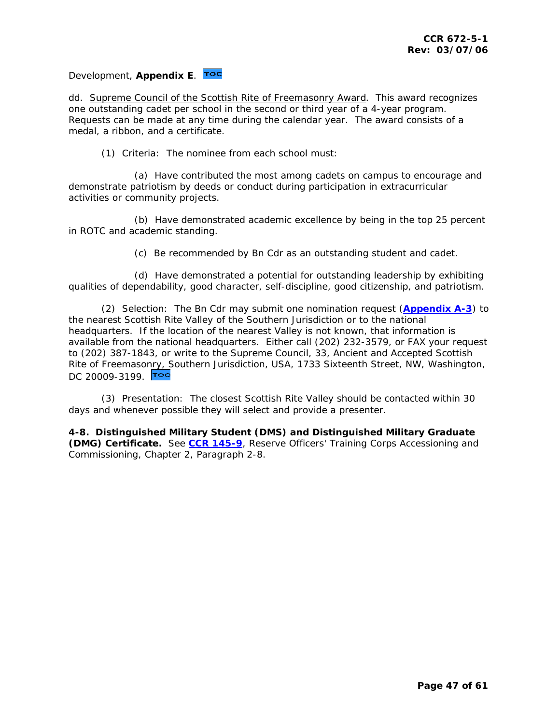## <span id="page-46-0"></span>Development, **Appendix E**.

dd. *Supreme Council of the Scottish Rite of Freemasonry Award*. This award recognizes one outstanding cadet per school in the second or third year of a 4-year program. Requests can be made at any time during the calendar year. The award consists of a medal, a ribbon, and a certificate.

(1) Criteria: The nominee from each school must:

 (a) Have contributed the most among cadets on campus to encourage and demonstrate patriotism by deeds or conduct during participation in extracurricular activities or community projects.

 (b) Have demonstrated academic excellence by being in the top 25 percent in ROTC and academic standing.

(c) Be recommended by Bn Cdr as an outstanding student and cadet.

 (d) Have demonstrated a potential for outstanding leadership by exhibiting qualities of dependability, good character, self-discipline, good citizenship, and patriotism.

 (2) Selection: The Bn Cdr may submit one nomination request (**[Appendix A-3](#page-57-0)**) to the nearest Scottish Rite Valley of the Southern Jurisdiction or to the national headquarters. If the location of the nearest Valley is not known, that information is available from the national headquarters. Either call (202) 232-3579, or FAX your request to (202) 387-1843, or write to the Supreme Council, 33, Ancient and Accepted Scottish Rite of Freemaso[nry, S](#page-1-0)outhern Jurisdiction, USA, 1733 Sixteenth Street, NW, Washington, DC 20009-3199. TOC

 (3) Presentation: The closest Scottish Rite Valley should be contacted within 30 days and whenever possible they will select and provide a presenter.

**4-8. Distinguished Military Student (DMS) and Distinguished Military Graduate (DMG) Certificate.** See **[CCR 145-9](http://my.usaac.army.mil/portal/dt/usacc/HQ/library/CC_Regulations/)**, Reserve Officers' Training Corps Accessioning and Commissioning, Chapter 2, Paragraph 2-8.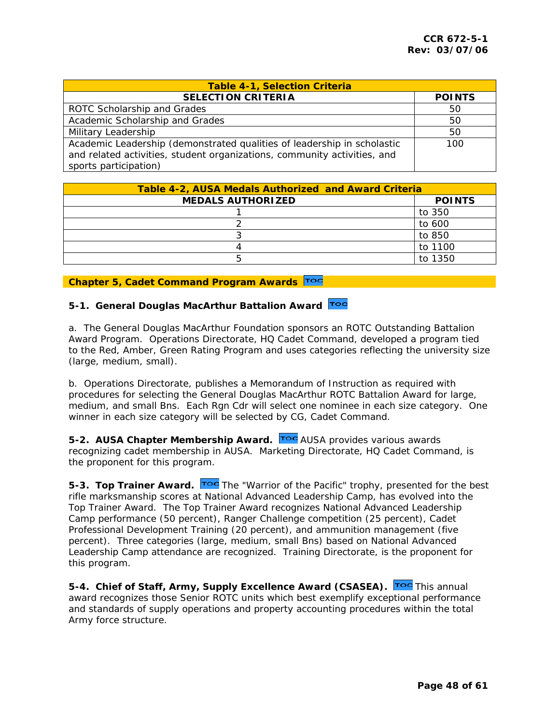<span id="page-47-0"></span>

| <b>Table 4-1, Selection Criteria</b>                                                                                                                                         |               |  |  |
|------------------------------------------------------------------------------------------------------------------------------------------------------------------------------|---------------|--|--|
| <b>SELECTION CRITERIA</b>                                                                                                                                                    | <b>POINTS</b> |  |  |
| ROTC Scholarship and Grades                                                                                                                                                  | 50            |  |  |
| Academic Scholarship and Grades                                                                                                                                              | 50            |  |  |
| Military Leadership                                                                                                                                                          | 50            |  |  |
| Academic Leadership (demonstrated qualities of leadership in scholastic<br>and related activities, student organizations, community activities, and<br>sports participation) | 100           |  |  |

| <b>Table 4-2, AUSA Medals Authorized and Award Criteria</b> |               |  |  |
|-------------------------------------------------------------|---------------|--|--|
| <b>MEDALS AUTHORIZED</b>                                    | <b>POINTS</b> |  |  |
|                                                             | to 350        |  |  |
|                                                             | to 600        |  |  |
|                                                             | to 850        |  |  |
|                                                             | to 1100       |  |  |
|                                                             | to 1350       |  |  |

## **Chapter 5, Cadet Command Program Awards**

## **5-1. General Douglas MacArthur Battalion Award**

a. The General Douglas MacArthur Foundation sponsors an ROTC Outstanding Battalion Award Program. Operations Directorate, HQ Cadet Command, developed a program tied to the Red, Amber, Green Rating Program and uses categories reflecting the university size (large, medium, small).

b. Operations Directorate, publishes a Memorandum of Instruction as required with procedures for selecting the General Douglas MacArthur ROTC Battalion Award for large, medium, and small Bns. Each Rgn Cdr will select one nominee in each size category. One winner in each size category will be selected by CG, Cadet Command.

**5-2. AUSA Chapter Membership Award.** Toc AUSA provides various awards recognizing cadet membership in AUSA. Ma[rketing](#page-1-0) Directorate, HQ Cadet Command, is the proponent for this program.

**5-3. [T](#page-1-0)op Trainer Award.** Toc The "Warrior of the Pacific" trophy, presented for the best rifle marksmanship scores at National Advanced Leadership Camp, has evolved into the Top Trainer Award. The Top Trainer Award recognizes National Advanced Leadership Camp performance (50 percent), Ranger Challenge competition (25 percent), Cadet Professional Development Training (20 percent), and ammunition management (five percent). Three categories (large, medium, small Bns) based on National Advanced Leadership Camp attendance are recognized. Training Directorate, is the proponent for this program.

5-4. Chief of Staff, Army, Supply Excellence Award (CSASEA). Toc This annual award recognizes those Senior ROTC units which best exemplify exceptional performance and standards of supply operations and property accounting procedures within the total Army force structure.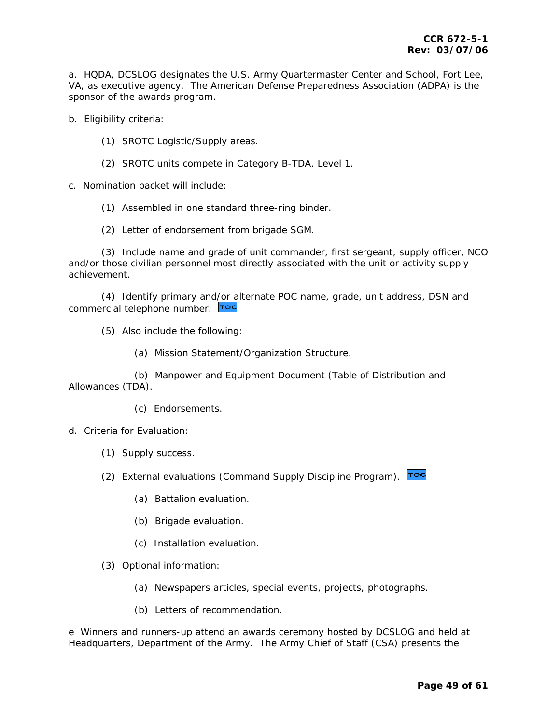a. HQDA, DCSLOG designates the U.S. Army Quartermaster Center and School, Fort Lee, VA, as executive agency. The American Defense Preparedness Association (ADPA) is the sponsor of the awards program.

b. Eligibility criteria:

- (1) SROTC Logistic/Supply areas.
- (2) SROTC units compete in Category B-TDA, Level 1.

c. Nomination packet will include:

(1) Assembled in one standard three-ring binder.

(2) Letter of endorsement from brigade SGM.

 (3) Include name and grade of unit commander, first sergeant, supply officer, NCO and/or those civilian personnel most directly associated with the unit or activity supply achievement.

 (4) Identify primary an[d/or al](#page-1-0)ternate POC name, grade, unit address, DSN and commercial telephone number. Toc

(5) Also include the following:

(a) Mission Statement/Organization Structure.

 (b) Manpower and Equipment Document (Table of Distribution and Allowances (TDA).

(c) Endorsements.

d. Criteria for Evaluation:

(1) Supply success.

(2) External evaluations (Command Supply Discipline Program). Toc

- (a) Battalion evaluation.
- (b) Brigade evaluation.
- (c) Installation evaluation.

(3) Optional information:

- (a) Newspapers articles, special events, projects, photographs.
- (b) Letters of recommendation.

e Winners and runners-up attend an awards ceremony hosted by DCSLOG and held at Headquarters, Department of the Army. The Army Chief of Staff (CSA) presents the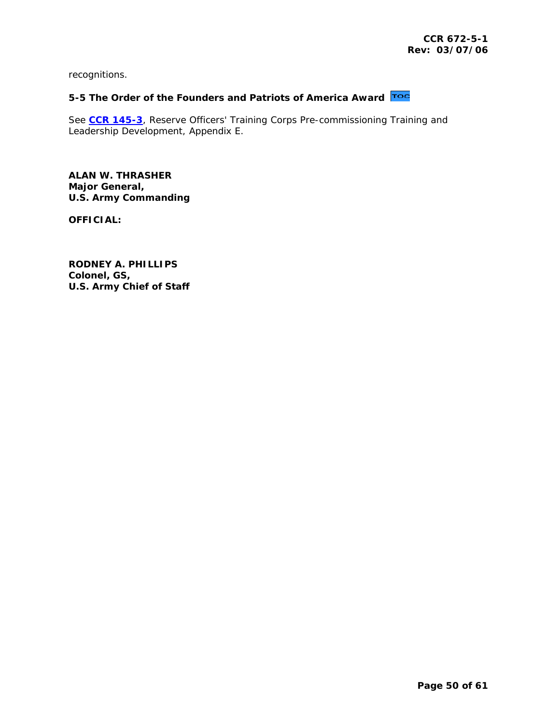<span id="page-49-0"></span>recognitions.

# **5-5 The Order of the Founders and Patriots of America Award**

See **[CCR 145-3](http://my.usaac.army.mil/portal/dt/usacc/HQ/library/CC_Regulations/)**, Reserve Officers' Training Corps Pre-commissioning Training and Leadership Development, Appendix E.

**ALAN W. THRASHER Major General, U.S. Army Commanding** 

**OFFICIAL:** 

**RODNEY A. PHILLIPS Colonel, GS, U.S. Army Chief of Staff**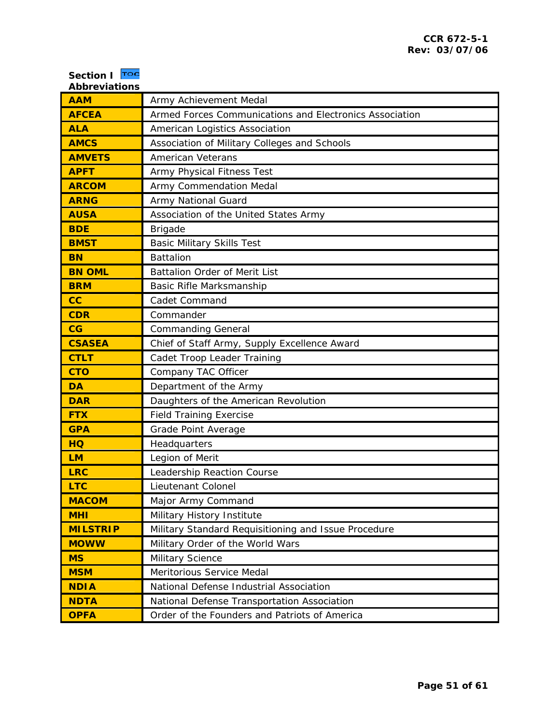<span id="page-50-0"></span>

| <b>Section I</b><br>$\mathbf{r}\circ\mathbf{c}$<br><b>Abbreviations</b> |                                                         |
|-------------------------------------------------------------------------|---------------------------------------------------------|
| <b>AAM</b>                                                              | Army Achievement Medal                                  |
| <b>AFCEA</b>                                                            | Armed Forces Communications and Electronics Association |
| <b>ALA</b>                                                              | American Logistics Association                          |
| <b>AMCS</b>                                                             | Association of Military Colleges and Schools            |
| <b>AMVETS</b>                                                           | <b>American Veterans</b>                                |
| <b>APFT</b>                                                             | Army Physical Fitness Test                              |
| <b>ARCOM</b>                                                            | Army Commendation Medal                                 |
| <b>ARNG</b>                                                             | Army National Guard                                     |
| <b>AUSA</b>                                                             | Association of the United States Army                   |
| <b>BDE</b>                                                              | <b>Brigade</b>                                          |
| <b>BMST</b>                                                             | <b>Basic Military Skills Test</b>                       |
| <b>BN</b>                                                               | <b>Battalion</b>                                        |
| <b>BN OML</b>                                                           | Battalion Order of Merit List                           |
| <b>BRM</b>                                                              | Basic Rifle Marksmanship                                |
| cc                                                                      | Cadet Command                                           |
| <b>CDR</b>                                                              | Commander                                               |
| CG                                                                      | <b>Commanding General</b>                               |
| <b>CSASEA</b>                                                           | Chief of Staff Army, Supply Excellence Award            |
| <b>CTLT</b>                                                             | Cadet Troop Leader Training                             |
| <b>CTO</b>                                                              | Company TAC Officer                                     |
| <b>DA</b>                                                               | Department of the Army                                  |
| <b>DAR</b>                                                              | Daughters of the American Revolution                    |
| <b>FTX</b>                                                              | <b>Field Training Exercise</b>                          |
| <b>GPA</b>                                                              | Grade Point Average                                     |
| <b>HQ</b>                                                               | Headquarters                                            |
| <b>LM</b>                                                               | Legion of Merit                                         |
| <b>LRC</b>                                                              | Leadership Reaction Course                              |
| <b>LTC</b>                                                              | Lieutenant Colonel                                      |
| <b>MACOM</b>                                                            | Major Army Command                                      |
| <b>MHI</b>                                                              | Military History Institute                              |
| <b>MILSTRIP</b>                                                         | Military Standard Requisitioning and Issue Procedure    |
| <b>MOWW</b>                                                             | Military Order of the World Wars                        |
| <b>MS</b>                                                               | Military Science                                        |
| <b>MSM</b>                                                              | Meritorious Service Medal                               |
| <b>NDIA</b>                                                             | National Defense Industrial Association                 |
| <b>NDTA</b>                                                             | National Defense Transportation Association             |
| <b>OPFA</b>                                                             | Order of the Founders and Patriots of America           |

 $\overline{\phantom{a}}$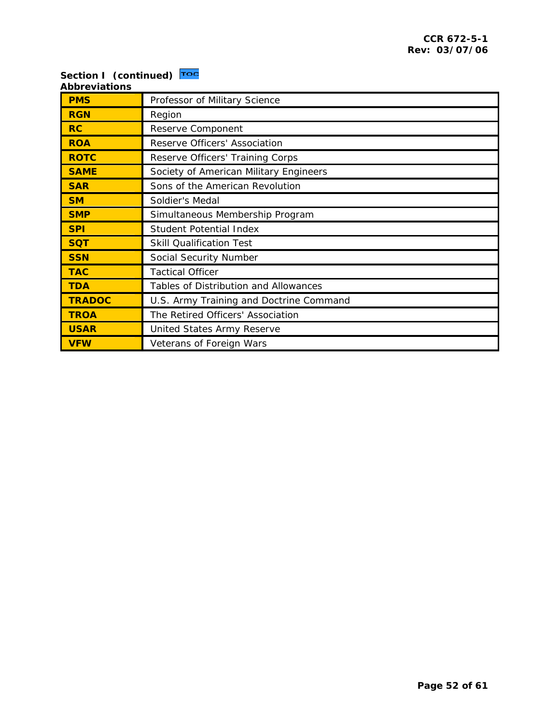#### **Section I (continued) [Abbreviations](#page-1-0)**

| <b>PMS</b>    | Professor of Military Science           |
|---------------|-----------------------------------------|
| <b>RGN</b>    | Region                                  |
| RC            | Reserve Component                       |
| <b>ROA</b>    | Reserve Officers' Association           |
| <b>ROTC</b>   | Reserve Officers' Training Corps        |
| <b>SAME</b>   | Society of American Military Engineers  |
| <b>SAR</b>    | Sons of the American Revolution         |
| <b>SM</b>     | Soldier's Medal                         |
| <b>SMP</b>    | Simultaneous Membership Program         |
| <b>SPI</b>    | <b>Student Potential Index</b>          |
| <b>SQT</b>    | <b>Skill Qualification Test</b>         |
| <b>SSN</b>    | Social Security Number                  |
| <b>TAC</b>    | <b>Tactical Officer</b>                 |
| <b>TDA</b>    | Tables of Distribution and Allowances   |
| <b>TRADOC</b> | U.S. Army Training and Doctrine Command |
| <b>TROA</b>   | The Retired Officers' Association       |
| <b>USAR</b>   | United States Army Reserve              |
| <b>VFW</b>    | Veterans of Foreign Wars                |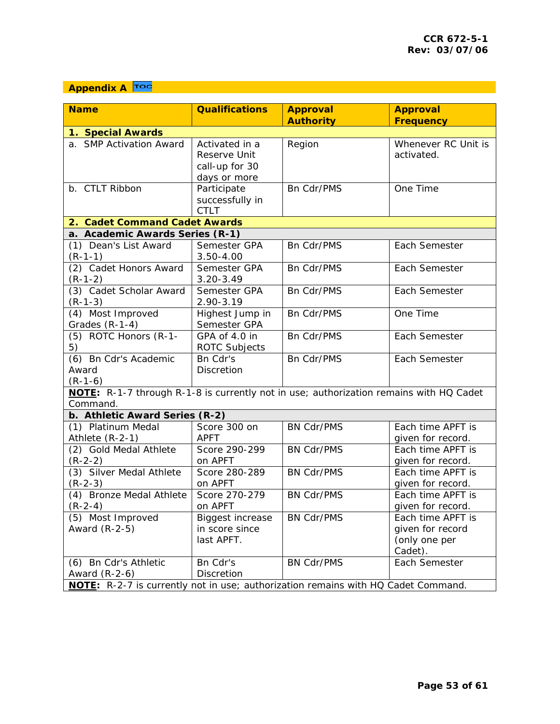# <span id="page-52-0"></span>**Appendix A**

|                                                                                                                               |                                                                  | <b>Approval</b>   | <b>Approval</b>                                                   |  |  |
|-------------------------------------------------------------------------------------------------------------------------------|------------------------------------------------------------------|-------------------|-------------------------------------------------------------------|--|--|
|                                                                                                                               |                                                                  | <b>Authority</b>  | <b>Frequency</b>                                                  |  |  |
| 1. Special Awards                                                                                                             |                                                                  |                   |                                                                   |  |  |
| a. SMP Activation Award                                                                                                       | Activated in a<br>Reserve Unit<br>call-up for 30<br>days or more | Region            | Whenever RC Unit is<br>activated.                                 |  |  |
| b. CTLT Ribbon                                                                                                                | Participate<br>successfully in<br><b>CTLT</b>                    | Bn Cdr/PMS        | One Time                                                          |  |  |
| 2. Cadet Command Cadet Awards                                                                                                 |                                                                  |                   |                                                                   |  |  |
| a. Academic Awards Series (R-1)                                                                                               |                                                                  |                   |                                                                   |  |  |
| (1) Dean's List Award<br>$(R-1-1)$                                                                                            | Semester GPA<br>$3.50 - 4.00$                                    | Bn Cdr/PMS        | Each Semester                                                     |  |  |
| (2) Cadet Honors Award<br>$(R-1-2)$                                                                                           | Semester GPA<br>$3.20 - 3.49$                                    | Bn Cdr/PMS        | Each Semester                                                     |  |  |
| (3) Cadet Scholar Award<br>$(R-1-3)$                                                                                          | Semester GPA<br>2.90-3.19                                        | Bn Cdr/PMS        | Each Semester                                                     |  |  |
| (4) Most Improved<br>Grades (R-1-4)                                                                                           | Highest Jump in<br>Semester GPA                                  | <b>Bn Cdr/PMS</b> | One Time                                                          |  |  |
| (5) ROTC Honors (R-1-<br>5)                                                                                                   | GPA of 4.0 in<br>ROTC Subjects                                   | Bn Cdr/PMS        | Each Semester                                                     |  |  |
| (6) Bn Cdr's Academic<br>Award<br>$(R-1-6)$                                                                                   | Bn Cdr's<br>Discretion                                           | Bn Cdr/PMS        | Each Semester                                                     |  |  |
| NOTE: R-1-7 through R-1-8 is currently not in use; authorization remains with HQ Cadet<br>Command.                            |                                                                  |                   |                                                                   |  |  |
| b. Athletic Award Series (R-2)                                                                                                |                                                                  |                   |                                                                   |  |  |
| (1) Platinum Medal<br>Athlete (R-2-1)                                                                                         | Score 300 on<br><b>APFT</b>                                      | <b>BN Cdr/PMS</b> | Each time APFT is<br>given for record.                            |  |  |
| (2) Gold Medal Athlete<br>$(R-2-2)$                                                                                           | Score 290-299<br>on APFT                                         | <b>BN Cdr/PMS</b> | Each time APFT is<br>given for record.                            |  |  |
| (3) Silver Medal Athlete<br>$(R-2-3)$                                                                                         | Score 280-289<br>on APFT                                         | <b>BN Cdr/PMS</b> | Each time APFT is<br>given for record.                            |  |  |
| (4) Bronze Medal Athlete<br>$(R-2-4)$                                                                                         | Score 270-279<br>on APFT                                         | <b>BN Cdr/PMS</b> | Each time APFT is<br>given for record.                            |  |  |
| (5) Most Improved<br>Award (R-2-5)                                                                                            | <b>Biggest increase</b><br>in score since<br>last APFT.          | <b>BN Cdr/PMS</b> | Each time APFT is<br>given for record<br>(only one per<br>Cadet). |  |  |
| (6) Bn Cdr's Athletic<br>Award $(R-2-6)$<br>NOTE: R-2-7 is currently not in use; authorization remains with HQ Cadet Command. | Bn Cdr's<br>Discretion                                           | <b>BN Cdr/PMS</b> | Each Semester                                                     |  |  |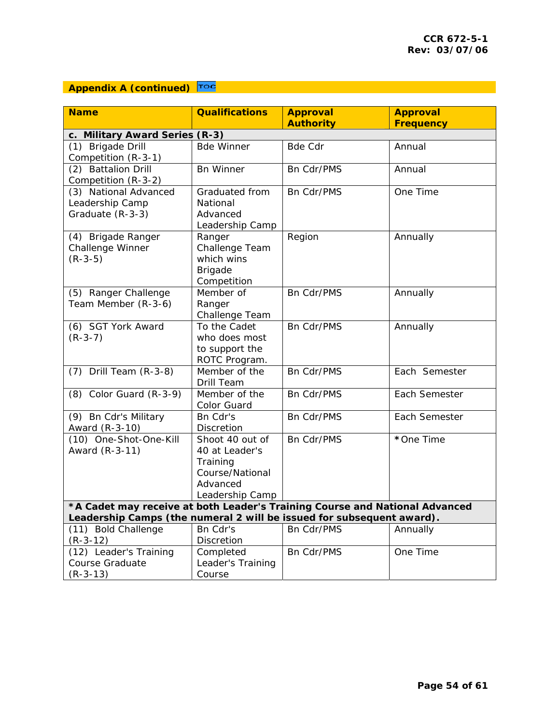## **Appendix A (continued) TOC**

| <b>Name</b>                                                                 | <b>Qualifications</b>                                                 | <b>Approval</b>   | <b>Approval</b>  |  |  |
|-----------------------------------------------------------------------------|-----------------------------------------------------------------------|-------------------|------------------|--|--|
|                                                                             |                                                                       | <b>Authority</b>  | <b>Frequency</b> |  |  |
| c. Military Award Series (R-3)                                              |                                                                       |                   |                  |  |  |
| (1) Brigade Drill                                                           | <b>Bde Winner</b>                                                     | <b>Bde Cdr</b>    | Annual           |  |  |
| Competition (R-3-1)                                                         |                                                                       |                   |                  |  |  |
| (2) Battalion Drill                                                         | <b>Bn Winner</b>                                                      | Bn Cdr/PMS        | Annual           |  |  |
| Competition (R-3-2)                                                         |                                                                       |                   |                  |  |  |
| (3) National Advanced                                                       | Graduated from                                                        | Bn Cdr/PMS        | One Time         |  |  |
| Leadership Camp                                                             | National                                                              |                   |                  |  |  |
| Graduate (R-3-3)                                                            | Advanced                                                              |                   |                  |  |  |
|                                                                             | Leadership Camp                                                       |                   |                  |  |  |
| (4) Brigade Ranger                                                          | Ranger                                                                | Region            | Annually         |  |  |
| Challenge Winner                                                            | Challenge Team                                                        |                   |                  |  |  |
| $(R-3-5)$                                                                   | which wins                                                            |                   |                  |  |  |
|                                                                             | <b>Brigade</b>                                                        |                   |                  |  |  |
|                                                                             | Competition                                                           |                   |                  |  |  |
| (5) Ranger Challenge                                                        | Member of                                                             | Bn Cdr/PMS        | Annually         |  |  |
| Team Member (R-3-6)                                                         | Ranger                                                                |                   |                  |  |  |
|                                                                             | Challenge Team                                                        |                   |                  |  |  |
| (6) SGT York Award                                                          | To the Cadet                                                          | Bn Cdr/PMS        | Annually         |  |  |
| $(R-3-7)$                                                                   | who does most                                                         |                   |                  |  |  |
|                                                                             | to support the                                                        |                   |                  |  |  |
|                                                                             | ROTC Program.                                                         |                   |                  |  |  |
| $(7)$ Drill Team $(R-3-8)$                                                  | Member of the                                                         | Bn Cdr/PMS        | Each Semester    |  |  |
|                                                                             | Drill Team                                                            |                   |                  |  |  |
| $(8)$ Color Guard $(R-3-9)$                                                 | Member of the                                                         | <b>Bn Cdr/PMS</b> | Each Semester    |  |  |
|                                                                             | Color Guard                                                           |                   |                  |  |  |
| $\overline{(9)}$ Bn Cdr's Military                                          | Bn Cdr's                                                              | Bn Cdr/PMS        | Each Semester    |  |  |
| Award (R-3-10)                                                              | Discretion                                                            |                   |                  |  |  |
| (10) One-Shot-One-Kill                                                      | Shoot 40 out of                                                       | Bn Cdr/PMS        | *One Time        |  |  |
| Award (R-3-11)                                                              | 40 at Leader's                                                        |                   |                  |  |  |
|                                                                             | Training                                                              |                   |                  |  |  |
|                                                                             | Course/National                                                       |                   |                  |  |  |
|                                                                             | Advanced                                                              |                   |                  |  |  |
|                                                                             | Leadership Camp                                                       |                   |                  |  |  |
| *A Cadet may receive at both Leader's Training Course and National Advanced |                                                                       |                   |                  |  |  |
|                                                                             | Leadership Camps (the numeral 2 will be issued for subsequent award). |                   |                  |  |  |
| (11) Bold Challenge                                                         | Bn Cdr's                                                              | Bn Cdr/PMS        | Annually         |  |  |
| $(R-3-12)$                                                                  | Discretion                                                            |                   |                  |  |  |
| $\overline{(12)}$ Leader's Training                                         | Completed                                                             | Bn Cdr/PMS        | One Time         |  |  |
| Course Graduate                                                             | Leader's Training                                                     |                   |                  |  |  |
| $(R-3-13)$                                                                  | Course                                                                |                   |                  |  |  |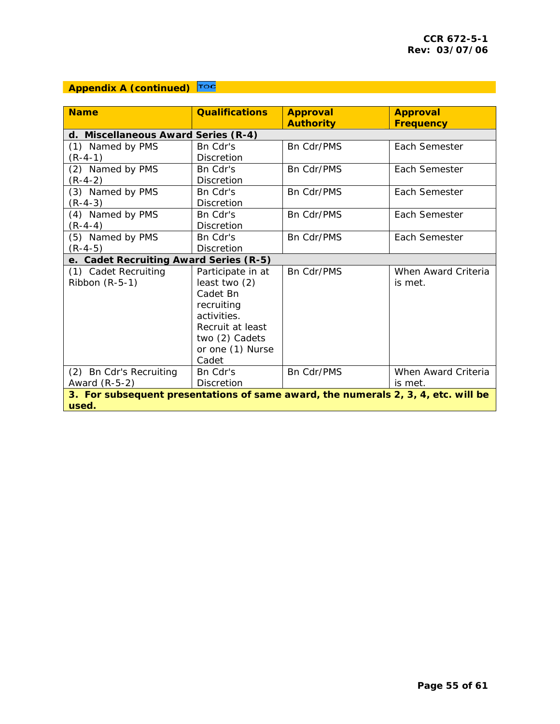## **Appendix A (continued) TOC**

| <b>Name</b><br><b>Qualifications</b><br><b>Approval</b><br><b>Approval</b>        |                   |                   |                     |  |
|-----------------------------------------------------------------------------------|-------------------|-------------------|---------------------|--|
|                                                                                   |                   | <b>Authority</b>  | <b>Frequency</b>    |  |
| d. Miscellaneous Award Series (R-4)                                               |                   |                   |                     |  |
| (1) Named by PMS                                                                  | Bn Cdr's          | <b>Bn Cdr/PMS</b> | Each Semester       |  |
| $(R-4-1)$                                                                         | <b>Discretion</b> |                   |                     |  |
| (2) Named by PMS                                                                  | Bn Cdr's          | <b>Bn Cdr/PMS</b> | Each Semester       |  |
| $(R-4-2)$                                                                         | <b>Discretion</b> |                   |                     |  |
| (3) Named by PMS                                                                  | Bn Cdr's          | <b>Bn Cdr/PMS</b> | Each Semester       |  |
| $(R-4-3)$                                                                         | <b>Discretion</b> |                   |                     |  |
| (4) Named by PMS                                                                  | Bn Cdr's          | <b>Bn Cdr/PMS</b> | Each Semester       |  |
| (R-4-4)                                                                           | <b>Discretion</b> |                   |                     |  |
| (5) Named by PMS                                                                  | Bn Cdr's          | <b>Bn Cdr/PMS</b> | Each Semester       |  |
| $(R-4-5)$                                                                         | <b>Discretion</b> |                   |                     |  |
| e. Cadet Recruiting Award Series (R-5)                                            |                   |                   |                     |  |
| (1) Cadet Recruiting                                                              | Participate in at | Bn Cdr/PMS        | When Award Criteria |  |
| Ribbon $(R-5-1)$                                                                  | least two (2)     |                   | is met.             |  |
|                                                                                   | Cadet Bn          |                   |                     |  |
|                                                                                   | recruiting        |                   |                     |  |
|                                                                                   | activities.       |                   |                     |  |
|                                                                                   | Recruit at least  |                   |                     |  |
|                                                                                   | two (2) Cadets    |                   |                     |  |
|                                                                                   | or one (1) Nurse  |                   |                     |  |
|                                                                                   | Cadet             |                   |                     |  |
| (2) Bn Cdr's Recruiting                                                           | Bn Cdr's          | <b>Bn Cdr/PMS</b> | When Award Criteria |  |
| Award (R-5-2)                                                                     | <b>Discretion</b> |                   | is met.             |  |
| 3. For subsequent presentations of same award, the numerals 2, 3, 4, etc. will be |                   |                   |                     |  |
| used.                                                                             |                   |                   |                     |  |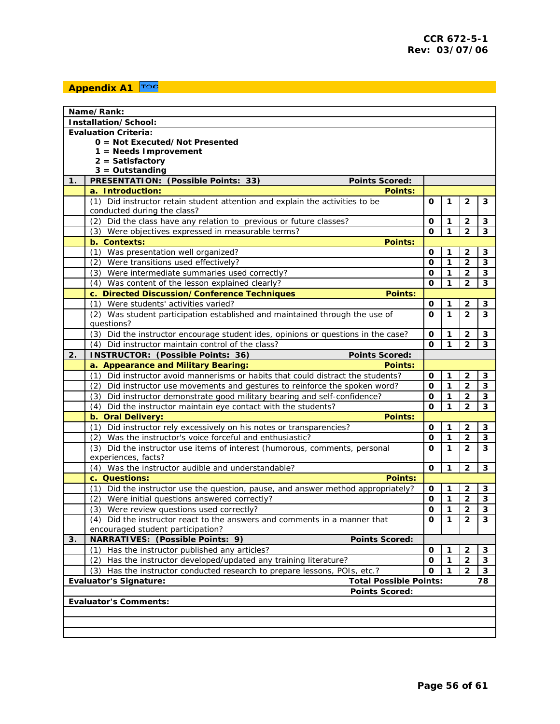## <span id="page-55-0"></span>**Appendix A1 TOC**

|                                                                           | Name/Rank:                                                                                                  |   |              |                         |                         |  |  |  |  |
|---------------------------------------------------------------------------|-------------------------------------------------------------------------------------------------------------|---|--------------|-------------------------|-------------------------|--|--|--|--|
| Installation/School:                                                      |                                                                                                             |   |              |                         |                         |  |  |  |  |
| <b>Evaluation Criteria:</b>                                               |                                                                                                             |   |              |                         |                         |  |  |  |  |
| $0 =$ Not Executed/Not Presented                                          |                                                                                                             |   |              |                         |                         |  |  |  |  |
| $1 =$ Needs Improvement                                                   |                                                                                                             |   |              |                         |                         |  |  |  |  |
| $2 = Satisfactory$                                                        |                                                                                                             |   |              |                         |                         |  |  |  |  |
|                                                                           | $3 =$ Outstanding                                                                                           |   |              |                         |                         |  |  |  |  |
| 1.                                                                        | PRESENTATION: (Possible Points: 33)<br><b>Points Scored:</b>                                                |   |              |                         |                         |  |  |  |  |
|                                                                           | a. Introduction:<br><b>Points:</b>                                                                          |   |              |                         |                         |  |  |  |  |
|                                                                           | (1) Did instructor retain student attention and explain the activities to be<br>conducted during the class? | Ω | 1            | $\overline{2}$          | 3                       |  |  |  |  |
|                                                                           | (2) Did the class have any relation to previous or future classes?                                          | 0 | 1            | $\overline{2}$          | 3                       |  |  |  |  |
|                                                                           | (3) Were objectives expressed in measurable terms?                                                          | O | 1            | $\overline{\mathbf{2}}$ | 3                       |  |  |  |  |
|                                                                           | b. Contexts:<br><b>Points:</b>                                                                              |   |              |                         |                         |  |  |  |  |
|                                                                           | (1) Was presentation well organized?                                                                        | 0 | 1            | 2                       | 3                       |  |  |  |  |
|                                                                           | (2) Were transitions used effectively?                                                                      | O | 1            | 2                       | 3                       |  |  |  |  |
|                                                                           | (3) Were intermediate summaries used correctly?                                                             | O | 1            | $\mathbf{2}$            | 3                       |  |  |  |  |
|                                                                           | (4) Was content of the lesson explained clearly?                                                            | 0 | 1            | 2                       | $\overline{\mathbf{3}}$ |  |  |  |  |
|                                                                           | c. Directed Discussion/Conference Techniques<br>Points:                                                     |   |              |                         |                         |  |  |  |  |
|                                                                           | (1) Were students' activities varied?                                                                       | O | 1            | $\mathbf{2}$            | 3                       |  |  |  |  |
|                                                                           | (2) Was student participation established and maintained through the use of<br>questions?                   | Ω | $\mathbf{1}$ | $\overline{2}$          | 3                       |  |  |  |  |
|                                                                           | (3) Did the instructor encourage student ides, opinions or questions in the case?                           | 0 | 1            | 2                       | 3                       |  |  |  |  |
|                                                                           | (4) Did instructor maintain control of the class?                                                           | Ω | 1            | 2                       | 3                       |  |  |  |  |
| 2.                                                                        | INSTRUCTOR: (Possible Points: 36)<br><b>Points Scored:</b>                                                  |   |              |                         |                         |  |  |  |  |
|                                                                           | a. Appearance and Military Bearing:<br><b>Points:</b>                                                       |   |              |                         |                         |  |  |  |  |
|                                                                           | (1) Did instructor avoid mannerisms or habits that could distract the students?                             | 0 | 1            | $\overline{2}$          | 3                       |  |  |  |  |
|                                                                           | (2) Did instructor use movements and gestures to reinforce the spoken word?                                 | 0 | 1            | $\overline{2}$          | 3                       |  |  |  |  |
|                                                                           | (3) Did instructor demonstrate good military bearing and self-confidence?                                   | 0 | 1            | $\mathbf{2}$            | $\mathbf{3}$            |  |  |  |  |
|                                                                           | (4)<br>Did the instructor maintain eye contact with the students?                                           | O | 1            | $\overline{\mathbf{2}}$ | $\mathbf{3}$            |  |  |  |  |
|                                                                           | b. Oral Delivery:<br><b>Points:</b>                                                                         |   |              |                         |                         |  |  |  |  |
|                                                                           | (1) Did instructor rely excessively on his notes or transparencies?                                         | 0 | 1            | 2                       | 3                       |  |  |  |  |
|                                                                           | (2) Was the instructor's voice forceful and enthusiastic?                                                   | O | 1            | $\mathbf{2}$            | 3                       |  |  |  |  |
|                                                                           | (3) Did the instructor use items of interest (humorous, comments, personal<br>experiences, facts?           | Ω | 1            | $\mathbf{2}$            | 3                       |  |  |  |  |
|                                                                           | (4) Was the instructor audible and understandable?                                                          | 0 | 1            | $\overline{2}$          | 3                       |  |  |  |  |
|                                                                           | c. Questions:<br><b>Points:</b>                                                                             |   |              |                         |                         |  |  |  |  |
|                                                                           | Did the instructor use the question, pause, and answer method appropriately?<br>(1)                         | 0 | 1            | $\mathbf{2}$            | $\mathbf{3}$            |  |  |  |  |
|                                                                           | (2) Were initial questions answered correctly?                                                              | O | 1            | $\overline{2}$          | $\mathbf{3}$            |  |  |  |  |
|                                                                           | (3) Were review questions used correctly?                                                                   | 0 | $\mathbf{1}$ | $\mathbf 2$             | $\mathbf{3}$            |  |  |  |  |
|                                                                           | (4) Did the instructor react to the answers and comments in a manner that                                   | 0 | $\mathbf{1}$ | $\overline{2}$          | $\overline{3}$          |  |  |  |  |
|                                                                           | encouraged student participation?                                                                           |   |              |                         |                         |  |  |  |  |
| 3.                                                                        | NARRATIVES: (Possible Points: 9)<br><b>Points Scored:</b>                                                   |   |              |                         |                         |  |  |  |  |
|                                                                           | (1)<br>Has the instructor published any articles?                                                           | 0 | 1            | $\overline{2}$          | 3                       |  |  |  |  |
|                                                                           | (2) Has the instructor developed/updated any training literature?                                           | 0 | 1            | $\overline{\mathbf{2}}$ | $\mathbf{3}$            |  |  |  |  |
| (3) Has the instructor conducted research to prepare lessons, POIs, etc.? |                                                                                                             |   |              |                         | $\mathbf{3}$            |  |  |  |  |
| <b>Total Possible Points:</b><br><b>Evaluator's Signature:</b><br>78      |                                                                                                             |   |              |                         |                         |  |  |  |  |
| <b>Points Scored:</b>                                                     |                                                                                                             |   |              |                         |                         |  |  |  |  |
|                                                                           | <b>Evaluator's Comments:</b>                                                                                |   |              |                         |                         |  |  |  |  |
|                                                                           |                                                                                                             |   |              |                         |                         |  |  |  |  |
|                                                                           |                                                                                                             |   |              |                         |                         |  |  |  |  |
|                                                                           |                                                                                                             |   |              |                         |                         |  |  |  |  |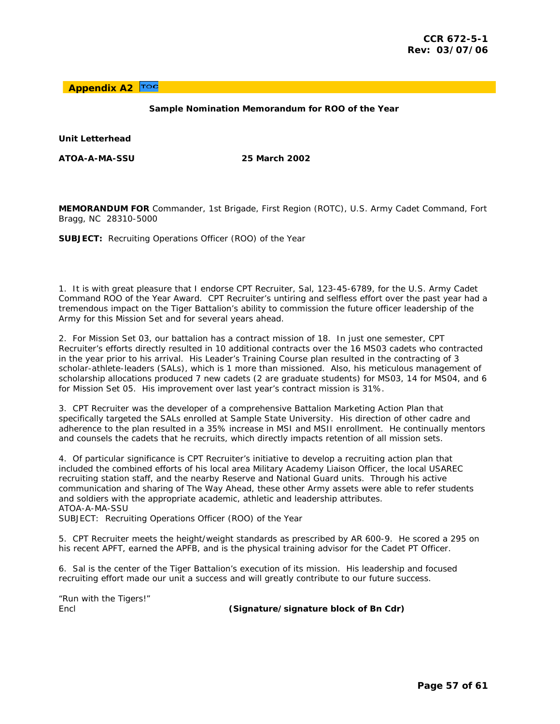<span id="page-56-0"></span>TOC **Appendix A2** 

#### **Sample Nomination Memorandum for ROO of the Year**

**Unit Letterhead** 

**ATOA-A-MA-SSU 25 March 2002** 

**MEMORANDUM FOR** Commander, 1st Brigade, First Region (ROTC), U.S. Army Cadet Command, Fort Bragg, NC 28310-5000

**SUBJECT:** Recruiting Operations Officer (ROO) of the Year

1. It is with great pleasure that I endorse CPT Recruiter, Sal, 123-45-6789, for the U.S. Army Cadet Command ROO of the Year Award. CPT Recruiter's untiring and selfless effort over the past year had a tremendous impact on the Tiger Battalion's ability to commission the future officer leadership of the Army for this Mission Set and for several years ahead.

2. For Mission Set 03, our battalion has a contract mission of 18. In just one semester, CPT Recruiter's efforts directly resulted in 10 additional contracts over the 16 MS03 cadets who contracted in the year prior to his arrival. His Leader's Training Course plan resulted in the contracting of 3 scholar-athlete-leaders (SALs), which is 1 more than missioned. Also, his meticulous management of scholarship allocations produced 7 new cadets (2 are graduate students) for MS03, 14 for MS04, and 6 for Mission Set 05. His improvement over last year's contract mission is 31%.

3. CPT Recruiter was the developer of a comprehensive Battalion Marketing Action Plan that specifically targeted the SALs enrolled at Sample State University. His direction of other cadre and adherence to the plan resulted in a 35% increase in MSI and MSII enrollment. He continually mentors and counsels the cadets that he recruits, which directly impacts retention of all mission sets.

4. Of particular significance is CPT Recruiter's initiative to develop a recruiting action plan that included the combined efforts of his local area Military Academy Liaison Officer, the local USAREC recruiting station staff, and the nearby Reserve and National Guard units. Through his active communication and sharing of *The Way Ahead*, these other Army assets were able to refer students and soldiers with the appropriate academic, athletic and leadership attributes. ATOA-A-MA-SSU

SUBJECT: Recruiting Operations Officer (ROO) of the Year

5. CPT Recruiter meets the height/weight standards as prescribed by AR 600-9. He scored a 295 on his recent APFT, earned the APFB, and is the physical training advisor for the Cadet PT Officer.

6. Sal is the center of the Tiger Battalion's execution of its mission. His leadership and focused recruiting effort made our unit a success and will greatly contribute to our future success.

*"Run with the Tigers!"* 

Encl **(Signature/signature block of Bn Cdr)**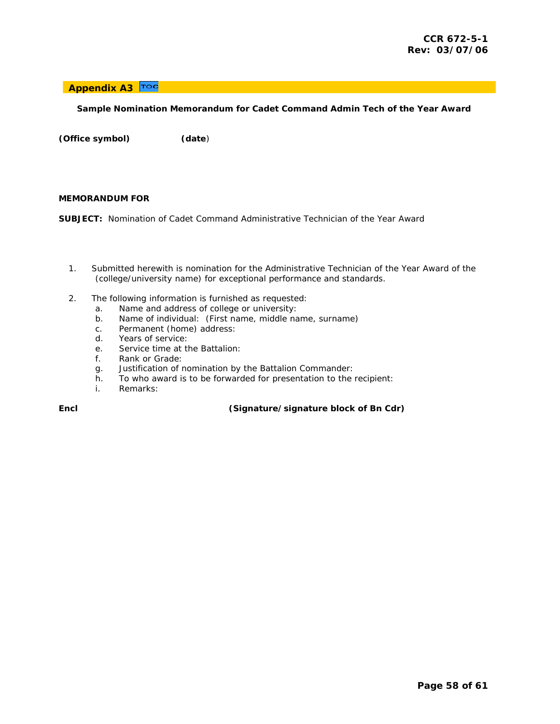#### <span id="page-57-0"></span>**Appendix A3**

#### **Sample Nomination Memorandum for Cadet Command Admin Tech of the Year Award**

**(Office symbol) (date**)

#### **MEMORANDUM FOR**

**SUBJECT:** Nomination of Cadet Command Administrative Technician of the Year Award

- 1. Submitted herewith is nomination for the Administrative Technician of the Year Award of the (college/university name) for exceptional performance and standards.
- 2. The following information is furnished as requested:
	- a. Name and address of college or university:
	- b. Name of individual: (First name, middle name, surname)
	- c. Permanent (home) address:
	- d. Years of service:
	- e. Service time at the Battalion:
	- f. Rank or Grade:
	- g. Justification of nomination by the Battalion Commander:
	- h. To who award is to be forwarded for presentation to the recipient:
	- i. Remarks:

**Encl (Signature/signature block of Bn Cdr)**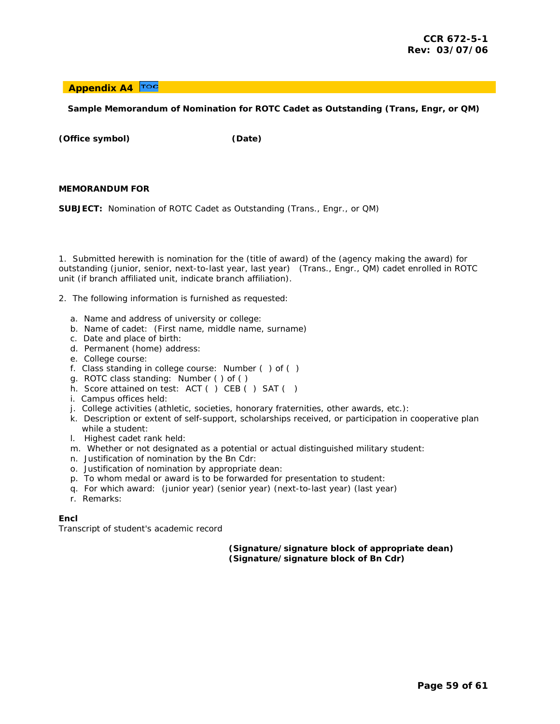#### <span id="page-58-0"></span>**Appendix A4**

#### **Sample Memorandum of Nomination for ROTC Cadet as Outstanding (Trans, Engr, or QM)**

**(Office symbol) (Date)** 

#### **MEMORANDUM FOR**

**SUBJECT:** Nomination of ROTC Cadet as Outstanding (Trans., Engr., or QM)

1. Submitted herewith is nomination for the (title of award) of the (agency making the award) for outstanding (junior, senior, next-to-last year, last year) (Trans., Engr., QM) cadet enrolled in ROTC unit (if branch affiliated unit, indicate branch affiliation).

2. The following information is furnished as requested:

- a. Name and address of university or college:
- b. Name of cadet: (First name, middle name, surname)
- c. Date and place of birth:
- d. Permanent (home) address:
- e. College course:
- f. Class standing in college course: Number ( ) of ( )
- g. ROTC class standing: Number ( ) of ( )
- h. Score attained on test: ACT ( ) CEB ( ) SAT ( )
- i. Campus offices held:
- j. College activities (athletic, societies, honorary fraternities, other awards, etc.):
- k. Description or extent of self-support, scholarships received, or participation in cooperative plan while a student:
- l. Highest cadet rank held:
- m. Whether or not designated as a potential or actual distinguished military student:
- n. Justification of nomination by the Bn Cdr:
- o. Justification of nomination by appropriate dean:
- p. To whom medal or award is to be forwarded for presentation to student:
- q. For which award: (junior year) (senior year) (next-to-last year) (last year)
- r. Remarks:

#### **Encl**

Transcript of student's academic record

#### **(Signature/signature block of appropriate dean) (Signature/signature block of Bn Cdr)**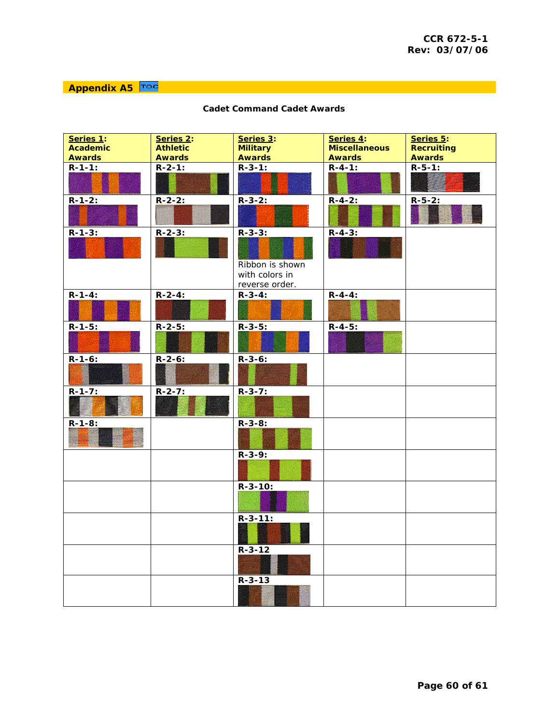<span id="page-59-0"></span>**Appendix A5** Toc

| Series 1:       | Series 2:       | Series 3:                                                            | Series 4:            | Series 5:         |
|-----------------|-----------------|----------------------------------------------------------------------|----------------------|-------------------|
| <b>Academic</b> | <b>Athletic</b> | <b>Military</b>                                                      | <b>Miscellaneous</b> | <b>Recruiting</b> |
| <b>Awards</b>   | <b>Awards</b>   | <b>Awards</b>                                                        | <b>Awards</b>        | <b>Awards</b>     |
| $R - 1 - 1$ :   | $R - 2 - 1$ :   | $R - 3 - 1$ :                                                        | $R - 4 - 1$ :        | $R-5-1:$          |
| $R - 1 - 2$ :   | $R - 2 - 2$ :   | $R - 3 - 2$ :                                                        | $R - 4 - 2$ :        | $R-5-2:$          |
| $R - 1 - 3$ :   | $R - 2 - 3$ :   | $R - 3 - 3$ :<br>Ribbon is shown<br>with colors in<br>reverse order. | $R - 4 - 3$ :        |                   |
| $R - 1 - 4$ :   | $R - 2 - 4$ :   | $R - 3 - 4$ :                                                        | $R - 4 - 4$ :        |                   |
| $R - 1 - 5$ :   | $R - 2 - 5$ :   | $R - 3 - 5$ :                                                        | $R - 4 - 5$ :        |                   |
| $R - 1 - 6$ :   | $R - 2 - 6$ :   | $R - 3 - 6$ :                                                        |                      |                   |
| $R - 1 - 7:$    | $R - 2 - 7$ :   | $R - 3 - 7$ :                                                        |                      |                   |
| $R - 1 - 8$ :   |                 | $R - 3 - 8$ :                                                        |                      |                   |
|                 |                 | $R - 3 - 9$ :                                                        |                      |                   |
|                 |                 | $R - 3 - 10$ :                                                       |                      |                   |
|                 |                 | $R - 3 - 11$ :                                                       |                      |                   |
|                 |                 | $R - 3 - 12$                                                         |                      |                   |
|                 |                 | $R - 3 - 13$                                                         |                      |                   |

### **Cadet Command Cadet Awards**